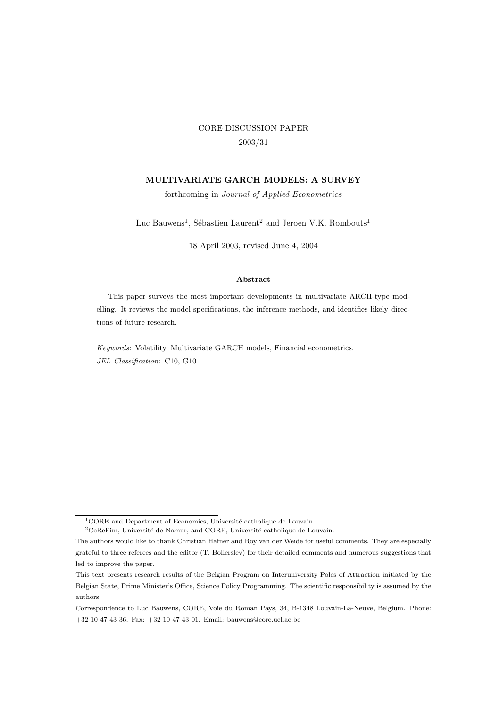# CORE DISCUSSION PAPER 2003/31

## MULTIVARIATE GARCH MODELS: A SURVEY

forthcoming in Journal of Applied Econometrics

Luc Bauwens<sup>1</sup>, Sébastien Laurent<sup>2</sup> and Jeroen V.K. Rombouts<sup>1</sup>

18 April 2003, revised June 4, 2004

#### Abstract

This paper surveys the most important developments in multivariate ARCH-type modelling. It reviews the model specifications, the inference methods, and identifies likely directions of future research.

Keywords: Volatility, Multivariate GARCH models, Financial econometrics. JEL Classification: C10, G10

 $1$ CORE and Department of Economics, Université catholique de Louvain.

 $^2\rm{CeReFim},$  Université de Namur, and CORE, Université catholique de Louvain.

The authors would like to thank Christian Hafner and Roy van der Weide for useful comments. They are especially grateful to three referees and the editor (T. Bollerslev) for their detailed comments and numerous suggestions that led to improve the paper.

This text presents research results of the Belgian Program on Interuniversity Poles of Attraction initiated by the Belgian State, Prime Minister's Office, Science Policy Programming. The scientific responsibility is assumed by the authors.

Correspondence to Luc Bauwens, CORE, Voie du Roman Pays, 34, B-1348 Louvain-La-Neuve, Belgium. Phone: +32 10 47 43 36. Fax: +32 10 47 43 01. Email: bauwens@core.ucl.ac.be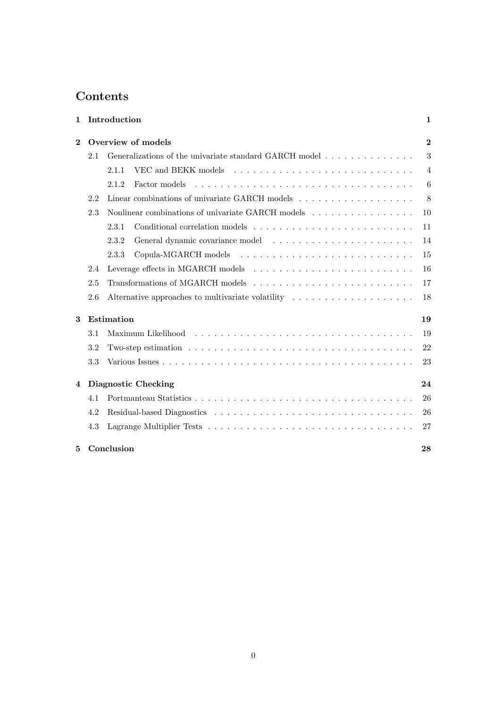# Contents

| 1            |                            | Introduction                                                                                              | $\mathbf{1}$   |
|--------------|----------------------------|-----------------------------------------------------------------------------------------------------------|----------------|
| $\mathbf{2}$ |                            | Overview of models                                                                                        | $\overline{2}$ |
|              | 2.1                        | Generalizations of the univariate standard GARCH model $\ldots$ , $\ldots$ , $\ldots$                     | 3              |
|              |                            | VEC and BEKK models<br>2.1.1                                                                              | $\overline{4}$ |
|              |                            | 2.1.2<br>Factor models                                                                                    | 6              |
|              | 2.2                        |                                                                                                           | 8              |
|              | 2.3                        | Nonlinear combinations of univariate GARCH models                                                         | 10             |
|              |                            | 2.3.1                                                                                                     | 11             |
|              |                            | 2.3.2                                                                                                     | 14             |
|              |                            | 2.3.3                                                                                                     | 15             |
|              | 2.4                        |                                                                                                           | 16             |
|              | 2.5                        |                                                                                                           | 17             |
|              | 2.6                        |                                                                                                           | 18             |
| 3            | Estimation                 |                                                                                                           | 19             |
|              | 3.1                        |                                                                                                           | 19             |
|              | 3.2                        | Two-step estimation $\ldots \ldots \ldots \ldots \ldots \ldots \ldots \ldots \ldots \ldots \ldots \ldots$ | 22             |
|              | 3.3                        |                                                                                                           | 23             |
| 4            | <b>Diagnostic Checking</b> |                                                                                                           | 24             |
|              | 4.1                        |                                                                                                           | 26             |
|              | 4.2                        |                                                                                                           | 26             |
|              | 4.3                        |                                                                                                           | 27             |
| 5            |                            | Conclusion                                                                                                | 28             |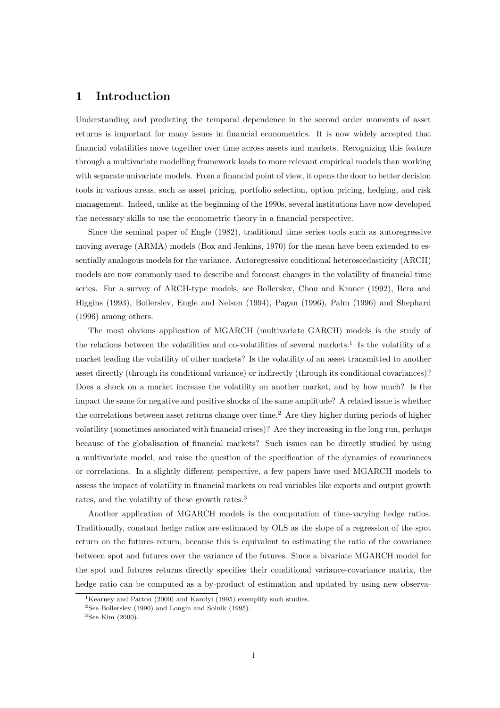# 1 Introduction

Understanding and predicting the temporal dependence in the second order moments of asset returns is important for many issues in financial econometrics. It is now widely accepted that financial volatilities move together over time across assets and markets. Recognizing this feature through a multivariate modelling framework leads to more relevant empirical models than working with separate univariate models. From a financial point of view, it opens the door to better decision tools in various areas, such as asset pricing, portfolio selection, option pricing, hedging, and risk management. Indeed, unlike at the beginning of the 1990s, several institutions have now developed the necessary skills to use the econometric theory in a financial perspective.

Since the seminal paper of Engle (1982), traditional time series tools such as autoregressive moving average (ARMA) models (Box and Jenkins, 1970) for the mean have been extended to essentially analogous models for the variance. Autoregressive conditional heteroscedasticity (ARCH) models are now commonly used to describe and forecast changes in the volatility of financial time series. For a survey of ARCH-type models, see Bollerslev, Chou and Kroner (1992), Bera and Higgins (1993), Bollerslev, Engle and Nelson (1994), Pagan (1996), Palm (1996) and Shephard (1996) among others.

The most obvious application of MGARCH (multivariate GARCH) models is the study of the relations between the volatilities and co-volatilities of several markets.<sup>1</sup> Is the volatility of a market leading the volatility of other markets? Is the volatility of an asset transmitted to another asset directly (through its conditional variance) or indirectly (through its conditional covariances)? Does a shock on a market increase the volatility on another market, and by how much? Is the impact the same for negative and positive shocks of the same amplitude? A related issue is whether the correlations between asset returns change over time.<sup>2</sup> Are they higher during periods of higher volatility (sometimes associated with financial crises)? Are they increasing in the long run, perhaps because of the globalisation of financial markets? Such issues can be directly studied by using a multivariate model, and raise the question of the specification of the dynamics of covariances or correlations. In a slightly different perspective, a few papers have used MGARCH models to assess the impact of volatility in financial markets on real variables like exports and output growth rates, and the volatility of these growth rates.<sup>3</sup>

Another application of MGARCH models is the computation of time-varying hedge ratios. Traditionally, constant hedge ratios are estimated by OLS as the slope of a regression of the spot return on the futures return, because this is equivalent to estimating the ratio of the covariance between spot and futures over the variance of the futures. Since a bivariate MGARCH model for the spot and futures returns directly specifies their conditional variance-covariance matrix, the hedge ratio can be computed as a by-product of estimation and updated by using new observa-

<sup>&</sup>lt;sup>1</sup> Kearney and Patton (2000) and Karolyi (1995) exemplify such studies.

 $2$ See Bollerslev (1990) and Longin and Solnik (1995).

<sup>3</sup>See Kim (2000).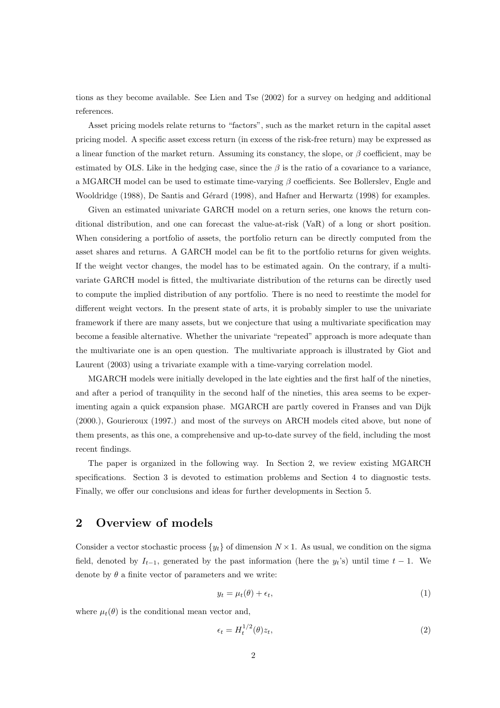tions as they become available. See Lien and Tse (2002) for a survey on hedging and additional references.

Asset pricing models relate returns to "factors", such as the market return in the capital asset pricing model. A specific asset excess return (in excess of the risk-free return) may be expressed as a linear function of the market return. Assuming its constancy, the slope, or  $\beta$  coefficient, may be estimated by OLS. Like in the hedging case, since the  $\beta$  is the ratio of a covariance to a variance, a MGARCH model can be used to estimate time-varying  $\beta$  coefficients. See Bollerslev, Engle and Wooldridge (1988), De Santis and Gérard (1998), and Hafner and Herwartz (1998) for examples.

Given an estimated univariate GARCH model on a return series, one knows the return conditional distribution, and one can forecast the value-at-risk (VaR) of a long or short position. When considering a portfolio of assets, the portfolio return can be directly computed from the asset shares and returns. A GARCH model can be fit to the portfolio returns for given weights. If the weight vector changes, the model has to be estimated again. On the contrary, if a multivariate GARCH model is fitted, the multivariate distribution of the returns can be directly used to compute the implied distribution of any portfolio. There is no need to reestimte the model for different weight vectors. In the present state of arts, it is probably simpler to use the univariate framework if there are many assets, but we conjecture that using a multivariate specification may become a feasible alternative. Whether the univariate "repeated" approach is more adequate than the multivariate one is an open question. The multivariate approach is illustrated by Giot and Laurent (2003) using a trivariate example with a time-varying correlation model.

MGARCH models were initially developed in the late eighties and the first half of the nineties, and after a period of tranquility in the second half of the nineties, this area seems to be experimenting again a quick expansion phase. MGARCH are partly covered in Franses and van Dijk (2000.), Gourieroux (1997.) and most of the surveys on ARCH models cited above, but none of them presents, as this one, a comprehensive and up-to-date survey of the field, including the most recent findings.

The paper is organized in the following way. In Section 2, we review existing MGARCH specifications. Section 3 is devoted to estimation problems and Section 4 to diagnostic tests. Finally, we offer our conclusions and ideas for further developments in Section 5.

# 2 Overview of models

Consider a vector stochastic process  $\{y_t\}$  of dimension  $N \times 1$ . As usual, we condition on the sigma field, denoted by  $I_{t-1}$ , generated by the past information (here the  $y_t$ 's) until time  $t-1$ . We denote by  $\theta$  a finite vector of parameters and we write:

$$
y_t = \mu_t(\theta) + \epsilon_t,\tag{1}
$$

where  $\mu_t(\theta)$  is the conditional mean vector and,

$$
\epsilon_t = H_t^{1/2}(\theta) z_t,\tag{2}
$$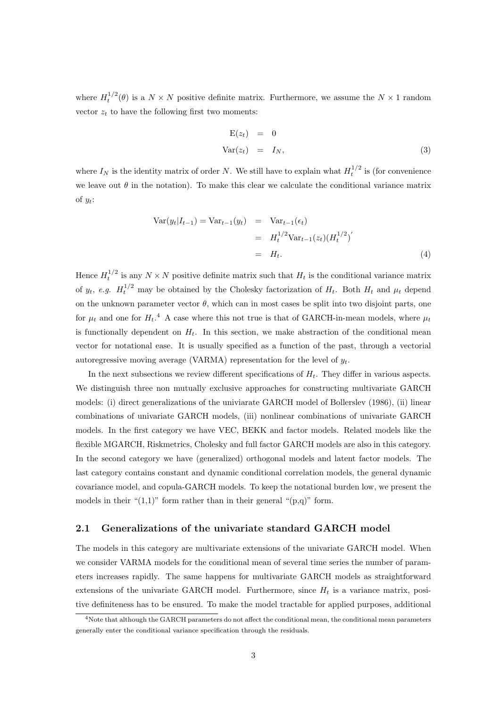where  $H_t^{1/2}(\theta)$  is a  $N \times N$  positive definite matrix. Furthermore, we assume the  $N \times 1$  random vector  $z_t$  to have the following first two moments:

$$
E(z_t) = 0
$$
  
\n
$$
Var(z_t) = I_N,
$$
\n(3)

where  $I_N$  is the identity matrix of order N. We still have to explain what  $H_t^{1/2}$  is (for convenience we leave out  $\theta$  in the notation). To make this clear we calculate the conditional variance matrix of  $y_t$ :

$$
\begin{aligned} \text{Var}(y_t | I_{t-1}) &= \text{Var}_{t-1}(y_t) &= \text{Var}_{t-1}(\epsilon_t) \\ &= H_t^{1/2} \text{Var}_{t-1}(z_t) (H_t^{1/2})' \\ &= H_t. \end{aligned} \tag{4}
$$

Hence  $H_t^{1/2}$  is any  $N \times N$  positive definite matrix such that  $H_t$  is the conditional variance matrix of  $y_t$ , e.g.  $H_t^{1/2}$  may be obtained by the Cholesky factorization of  $H_t$ . Both  $H_t$  and  $\mu_t$  depend on the unknown parameter vector  $\theta$ , which can in most cases be split into two disjoint parts, one for  $\mu_t$  and one for  $H_t$ .<sup>4</sup> A case where this not true is that of GARCH-in-mean models, where  $\mu_t$ is functionally dependent on  $H_t$ . In this section, we make abstraction of the conditional mean vector for notational ease. It is usually specified as a function of the past, through a vectorial autoregressive moving average (VARMA) representation for the level of  $y_t$ .

In the next subsections we review different specifications of  $H_t$ . They differ in various aspects. We distinguish three non mutually exclusive approaches for constructing multivariate GARCH models: (i) direct generalizations of the univiarate GARCH model of Bollerslev (1986), (ii) linear combinations of univariate GARCH models, (iii) nonlinear combinations of univariate GARCH models. In the first category we have VEC, BEKK and factor models. Related models like the flexible MGARCH, Riskmetrics, Cholesky and full factor GARCH models are also in this category. In the second category we have (generalized) orthogonal models and latent factor models. The last category contains constant and dynamic conditional correlation models, the general dynamic covariance model, and copula-GARCH models. To keep the notational burden low, we present the models in their " $(1,1)$ " form rather than in their general " $(p,q)$ " form.

#### 2.1 Generalizations of the univariate standard GARCH model

The models in this category are multivariate extensions of the univariate GARCH model. When we consider VARMA models for the conditional mean of several time series the number of parameters increases rapidly. The same happens for multivariate GARCH models as straightforward extensions of the univariate GARCH model. Furthermore, since  $H_t$  is a variance matrix, positive definiteness has to be ensured. To make the model tractable for applied purposes, additional

<sup>4</sup>Note that although the GARCH parameters do not affect the conditional mean, the conditional mean parameters generally enter the conditional variance specification through the residuals.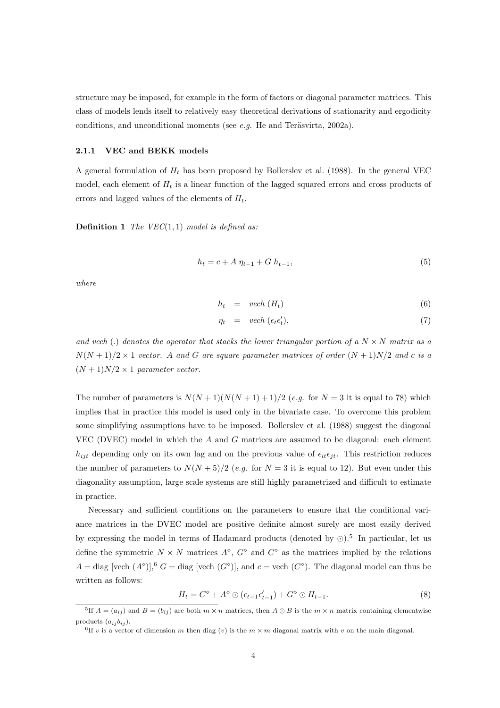structure may be imposed, for example in the form of factors or diagonal parameter matrices. This class of models lends itself to relatively easy theoretical derivations of stationarity and ergodicity conditions, and unconditional moments (see  $e.g.$  He and Teräsvirta, 2002a).

### 2.1.1 VEC and BEKK models

A general formulation of  $H_t$  has been proposed by Bollerslev et al. (1988). In the general VEC model, each element of  $H_t$  is a linear function of the lagged squared errors and cross products of errors and lagged values of the elements of  $H_t$ .

**Definition 1** The VEC $(1, 1)$  model is defined as:

$$
h_t = c + A \eta_{t-1} + G h_{t-1}, \tag{5}
$$

where

$$
h_t = vech (H_t) \tag{6}
$$

$$
\eta_t = \text{vech}(\epsilon_t \epsilon'_t), \tag{7}
$$

and vech (.) denotes the operator that stacks the lower triangular portion of a  $N \times N$  matrix as a  $N(N+1)/2 \times 1$  vector. A and G are square parameter matrices of order  $(N+1)N/2$  and c is a  $(N+1)N/2 \times 1$  parameter vector.

The number of parameters is  $N(N+1)(N(N+1)+1)/2$  (e.g. for  $N=3$  it is equal to 78) which implies that in practice this model is used only in the bivariate case. To overcome this problem some simplifying assumptions have to be imposed. Bollerslev et al. (1988) suggest the diagonal VEC (DVEC) model in which the  $A$  and  $G$  matrices are assumed to be diagonal: each element  $h_{ijt}$  depending only on its own lag and on the previous value of  $\epsilon_{it}\epsilon_{jt}$ . This restriction reduces the number of parameters to  $N(N+5)/2$  (e.g. for  $N=3$  it is equal to 12). But even under this diagonality assumption, large scale systems are still highly parametrized and difficult to estimate in practice.

Necessary and sufficient conditions on the parameters to ensure that the conditional variance matrices in the DVEC model are positive definite almost surely are most easily derived by expressing the model in terms of Hadamard products (denoted by  $\odot$ ).<sup>5</sup> In particular, let us define the symmetric  $N \times N$  matrices  $A^{\diamond}$ ,  $G^{\diamond}$  and  $C^{\diamond}$  as the matrices implied by the relations  $A = \text{diag}$  [vech  $(A^{\circ})$ ],  $G = \text{diag}$  [vech  $(G^{\circ})$ ], and  $c = \text{vech} (C^{\circ})$ . The diagonal model can thus be written as follows:

$$
H_t = C^{\diamond} + A^{\diamond} \odot (\epsilon_{t-1} \epsilon_{t-1}') + G^{\diamond} \odot H_{t-1}.
$$
\n
$$
(8)
$$

<sup>&</sup>lt;sup>5</sup>If  $A = (a_{ij})$  and  $B = (b_{ij})$  are both  $m \times n$  matrices, then  $A \odot B$  is the  $m \times n$  matrix containing elementwise products  $(a_{ij}b_{ij}).$ 

<sup>&</sup>lt;sup>6</sup>If v is a vector of dimension m then diag (v) is the  $m \times m$  diagonal matrix with v on the main diagonal.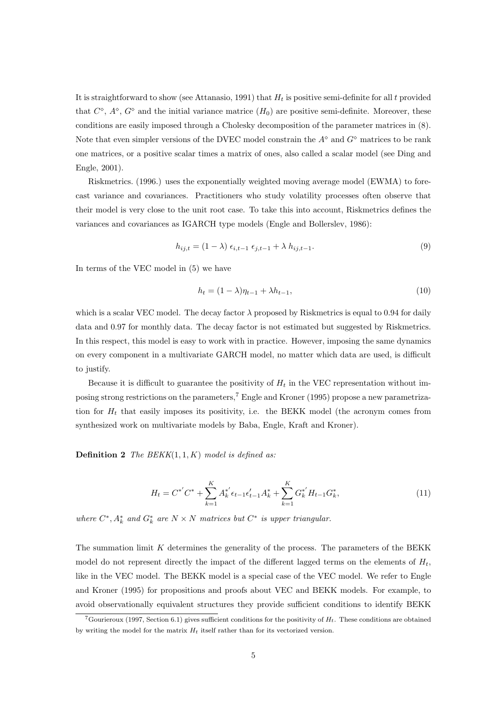It is straightforward to show (see Attanasio, 1991) that  $H_t$  is positive semi-definite for all t provided that  $C^{\diamond}$ ,  $A^{\diamond}$ ,  $G^{\diamond}$  and the initial variance matrice  $(H_0)$  are positive semi-definite. Moreover, these conditions are easily imposed through a Cholesky decomposition of the parameter matrices in (8). Note that even simpler versions of the DVEC model constrain the  $A^{\circ}$  and  $G^{\circ}$  matrices to be rank one matrices, or a positive scalar times a matrix of ones, also called a scalar model (see Ding and Engle, 2001).

Riskmetrics. (1996.) uses the exponentially weighted moving average model (EWMA) to forecast variance and covariances. Practitioners who study volatility processes often observe that their model is very close to the unit root case. To take this into account, Riskmetrics defines the variances and covariances as IGARCH type models (Engle and Bollerslev, 1986):

$$
h_{ij,t} = (1 - \lambda) \epsilon_{i,t-1} \epsilon_{j,t-1} + \lambda h_{ij,t-1}.
$$
\n
$$
(9)
$$

In terms of the VEC model in (5) we have

$$
h_t = (1 - \lambda)\eta_{t-1} + \lambda h_{t-1},\tag{10}
$$

which is a scalar VEC model. The decay factor  $\lambda$  proposed by Riskmetrics is equal to 0.94 for daily data and 0.97 for monthly data. The decay factor is not estimated but suggested by Riskmetrics. In this respect, this model is easy to work with in practice. However, imposing the same dynamics on every component in a multivariate GARCH model, no matter which data are used, is difficult to justify.

Because it is difficult to guarantee the positivity of  $H_t$  in the VEC representation without imposing strong restrictions on the parameters,<sup>7</sup> Engle and Kroner (1995) propose a new parametrization for  $H_t$  that easily imposes its positivity, i.e. the BEKK model (the acronym comes from synthesized work on multivariate models by Baba, Engle, Kraft and Kroner).

**Definition 2** The  $BEKK(1, 1, K)$  model is defined as:

$$
H_t = C^{*'}C^* + \sum_{k=1}^{K} A_k^{*'} \epsilon_{t-1} \epsilon_{t-1}' A_k^* + \sum_{k=1}^{K} G_k^{*'} H_{t-1} G_k^*,
$$
\n(11)

where  $C^*, A_k^*$  and  $G_k^*$  are  $N \times N$  matrices but  $C^*$  is upper triangular.

The summation limit K determines the generality of the process. The parameters of the BEKK model do not represent directly the impact of the different lagged terms on the elements of  $H_t$ , like in the VEC model. The BEKK model is a special case of the VEC model. We refer to Engle and Kroner (1995) for propositions and proofs about VEC and BEKK models. For example, to avoid observationally equivalent structures they provide sufficient conditions to identify BEKK

<sup>&</sup>lt;sup>7</sup>Gourieroux (1997, Section 6.1) gives sufficient conditions for the positivity of  $H_t$ . These conditions are obtained by writing the model for the matrix  $H_t$  itself rather than for its vectorized version.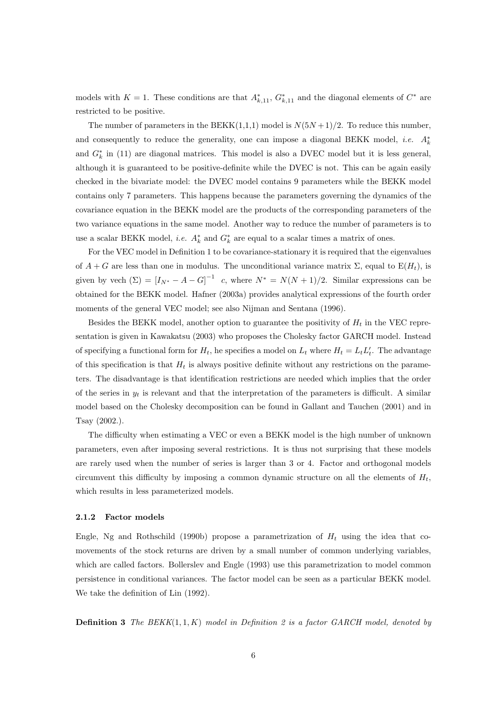models with  $K = 1$ . These conditions are that  $A_{k,11}^*$ ,  $G_{k,11}^*$  and the diagonal elements of  $C^*$  are restricted to be positive.

The number of parameters in the BEKK $(1,1,1)$  model is  $N(5N+1)/2$ . To reduce this number, and consequently to reduce the generality, one can impose a diagonal BEKK model, *i.e.*  $A_k^*$ and  $G_k^*$  in (11) are diagonal matrices. This model is also a DVEC model but it is less general, although it is guaranteed to be positive-definite while the DVEC is not. This can be again easily checked in the bivariate model: the DVEC model contains 9 parameters while the BEKK model contains only 7 parameters. This happens because the parameters governing the dynamics of the covariance equation in the BEKK model are the products of the corresponding parameters of the two variance equations in the same model. Another way to reduce the number of parameters is to use a scalar BEKK model, *i.e.*  $A_k^*$  and  $G_k^*$  are equal to a scalar times a matrix of ones.

For the VEC model in Definition 1 to be covariance-stationary it is required that the eigenvalues of  $A + G$  are less than one in modulus. The unconditional variance matrix  $\Sigma$ , equal to  $E(H_t)$ , is given by vech  $(\Sigma) = [I_{N^*} - A - G]^{-1}$  c, where  $N^* = N(N+1)/2$ . Similar expressions can be obtained for the BEKK model. Hafner (2003a) provides analytical expressions of the fourth order moments of the general VEC model; see also Nijman and Sentana (1996).

Besides the BEKK model, another option to guarantee the positivity of  $H_t$  in the VEC representation is given in Kawakatsu (2003) who proposes the Cholesky factor GARCH model. Instead of specifying a functional form for  $H_t$ , he specifies a model on  $L_t$  where  $H_t = L_t L'_t$ . The advantage of this specification is that  $H_t$  is always positive definite without any restrictions on the parameters. The disadvantage is that identification restrictions are needed which implies that the order of the series in  $y_t$  is relevant and that the interpretation of the parameters is difficult. A similar model based on the Cholesky decomposition can be found in Gallant and Tauchen (2001) and in Tsay (2002.).

The difficulty when estimating a VEC or even a BEKK model is the high number of unknown parameters, even after imposing several restrictions. It is thus not surprising that these models are rarely used when the number of series is larger than 3 or 4. Factor and orthogonal models circumvent this difficulty by imposing a common dynamic structure on all the elements of  $H_t$ , which results in less parameterized models.

#### 2.1.2 Factor models

Engle, Ng and Rothschild (1990b) propose a parametrization of  $H_t$  using the idea that comovements of the stock returns are driven by a small number of common underlying variables, which are called factors. Bollerslev and Engle (1993) use this parametrization to model common persistence in conditional variances. The factor model can be seen as a particular BEKK model. We take the definition of Lin (1992).

**Definition 3** The BEKK $(1, 1, K)$  model in Definition 2 is a factor GARCH model, denoted by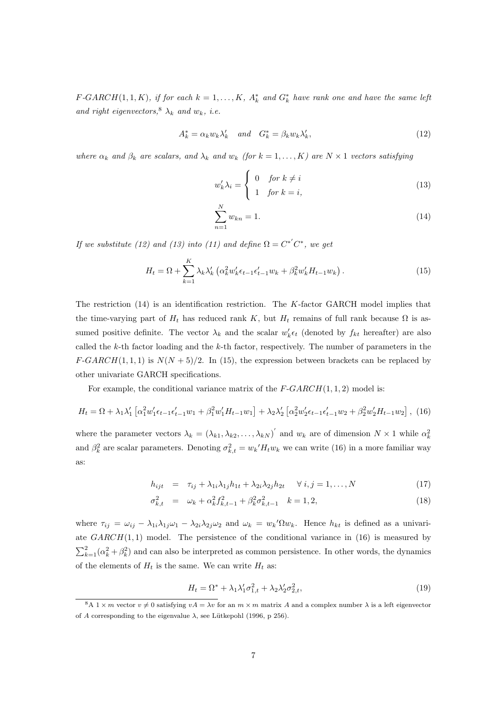$F\text{-}GARCH(1,1,K),$  if for each  $k = 1, ..., K$ ,  $A_k^*$  and  $G_k^*$  have rank one and have the same left and right eigenvectors,<sup>8</sup>  $\lambda_k$  and  $w_k$ , *i.e.* 

$$
A_k^* = \alpha_k w_k \lambda_k' \quad and \quad G_k^* = \beta_k w_k \lambda_k', \tag{12}
$$

where  $\alpha_k$  and  $\beta_k$  are scalars, and  $\lambda_k$  and  $w_k$  (for  $k = 1, ..., K$ ) are  $N \times 1$  vectors satisfying

$$
w'_k \lambda_i = \begin{cases} 0 & \text{for } k \neq i \\ 1 & \text{for } k = i, \end{cases}
$$
 (13)

$$
\sum_{n=1}^{N} w_{kn} = 1.
$$
 (14)

If we substitute (12) and (13) into (11) and define  $\Omega = C^{\ast} C^*$ , we get

$$
H_t = \Omega + \sum_{k=1}^{K} \lambda_k \lambda'_k \left( \alpha_k^2 w'_k \epsilon_{t-1} \epsilon'_{t-1} w_k + \beta_k^2 w'_k H_{t-1} w_k \right). \tag{15}
$$

The restriction (14) is an identification restriction. The K-factor GARCH model implies that the time-varying part of  $H_t$  has reduced rank K, but  $H_t$  remains of full rank because  $\Omega$  is assumed positive definite. The vector  $\lambda_k$  and the scalar  $w'_k \epsilon_t$  (denoted by  $f_{kt}$  hereafter) are also called the  $k$ -th factor loading and the  $k$ -th factor, respectively. The number of parameters in the  $F-GARCH(1, 1, 1)$  is  $N(N + 5)/2$ . In (15), the expression between brackets can be replaced by other univariate GARCH specifications.

For example, the conditional variance matrix of the  $F-GARCH(1, 1, 2)$  model is:

$$
H_t = \Omega + \lambda_1 \lambda_1' \left[ \alpha_1^2 w_1' \epsilon_{t-1} \epsilon_{t-1}' w_1 + \beta_1^2 w_1' H_{t-1} w_1 \right] + \lambda_2 \lambda_2' \left[ \alpha_2^2 w_2' \epsilon_{t-1} \epsilon_{t-1}' w_2 + \beta_2^2 w_2' H_{t-1} w_2 \right],
$$
 (16)

where the parameter vectors  $\lambda_k = (\lambda_{k1}, \lambda_{k2}, \dots, \lambda_{kN})'$  and  $w_k$  are of dimension  $N \times 1$  while  $\alpha_k^2$ and  $\beta_k^2$  are scalar parameters. Denoting  $\sigma_{k,t}^2 = w_k' H_t w_k$  we can write (16) in a more familiar way as:

$$
h_{ijt} = \tau_{ij} + \lambda_{1i}\lambda_{1j}h_{1t} + \lambda_{2i}\lambda_{2j}h_{2t} \quad \forall i, j = 1, ..., N
$$
\n(17)

$$
\sigma_{k,t}^2 = \omega_k + \alpha_k^2 f_{k,t-1}^2 + \beta_k^2 \sigma_{k,t-1}^2 \quad k = 1, 2, \tag{18}
$$

where  $\tau_{ij} = \omega_{ij} - \lambda_{1i}\lambda_{1j}\omega_1 - \lambda_{2i}\lambda_{2j}\omega_2$  and  $\omega_k = w_k'\Omega w_k$ . Hence  $h_{kt}$  is defined as a univariate  $GARCH(1, 1)$  model. The persistence of the conditional variance in  $(16)$  is measured by  $\sum_{k=1}^{2} (\alpha_k^2 + \beta_k^2)$  and can also be interpreted as common persistence. In other words, the dynamics of the elements of  $H_t$  is the same. We can write  $H_t$  as:

$$
H_t = \Omega^* + \lambda_1 \lambda_1' \sigma_{1,t}^2 + \lambda_2 \lambda_2' \sigma_{2,t}^2,\tag{19}
$$

 $8A$  1 × m vector  $v \neq 0$  satisfying  $vA = \lambda v$  for an  $m \times m$  matrix A and a complex number  $\lambda$  is a left eigenvector of A corresponding to the eigenvalue  $\lambda$ , see Lütkepohl (1996, p 256).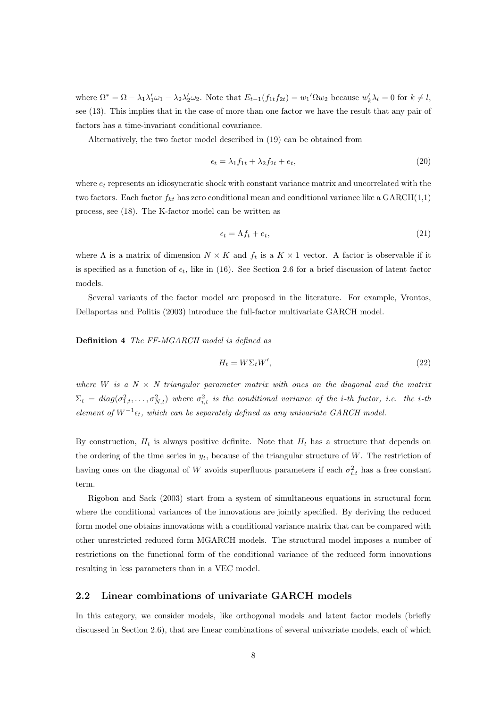where  $\Omega^* = \Omega - \lambda_1 \lambda_1' \omega_1 - \lambda_2 \lambda_2' \omega_2$ . Note that  $E_{t-1}(f_{1t}f_{2t}) = w_1' \Omega w_2$  because  $w'_k \lambda_l = 0$  for  $k \neq l$ , see (13). This implies that in the case of more than one factor we have the result that any pair of factors has a time-invariant conditional covariance.

Alternatively, the two factor model described in (19) can be obtained from

$$
\epsilon_t = \lambda_1 f_{1t} + \lambda_2 f_{2t} + e_t,\tag{20}
$$

where  $e_t$  represents an idiosyncratic shock with constant variance matrix and uncorrelated with the two factors. Each factor  $f_{kt}$  has zero conditional mean and conditional variance like a  $GARCH(1,1)$ process, see (18). The K-factor model can be written as

$$
\epsilon_t = \Lambda f_t + e_t,\tag{21}
$$

where  $\Lambda$  is a matrix of dimension  $N \times K$  and  $f_t$  is a  $K \times 1$  vector. A factor is observable if it is specified as a function of  $\epsilon_t$ , like in (16). See Section 2.6 for a brief discussion of latent factor models.

Several variants of the factor model are proposed in the literature. For example, Vrontos, Dellaportas and Politis (2003) introduce the full-factor multivariate GARCH model.

Definition 4 The FF-MGARCH model is defined as

$$
H_t = W \Sigma_t W',\tag{22}
$$

where W is a  $N \times N$  triangular parameter matrix with ones on the diagonal and the matrix  $\Sigma_t = diag(\sigma_{1,t}^2, \ldots, \sigma_{N,t}^2)$  where  $\sigma_{i,t}^2$  is the conditional variance of the i-th factor, i.e. the i-th element of  $W^{-1} \epsilon_t$ , which can be separately defined as any univariate GARCH model.

By construction,  $H_t$  is always positive definite. Note that  $H_t$  has a structure that depends on the ordering of the time series in  $y_t$ , because of the triangular structure of W. The restriction of having ones on the diagonal of W avoids superfluous parameters if each  $\sigma_{i,t}^2$  has a free constant term.

Rigobon and Sack (2003) start from a system of simultaneous equations in structural form where the conditional variances of the innovations are jointly specified. By deriving the reduced form model one obtains innovations with a conditional variance matrix that can be compared with other unrestricted reduced form MGARCH models. The structural model imposes a number of restrictions on the functional form of the conditional variance of the reduced form innovations resulting in less parameters than in a VEC model.

#### 2.2 Linear combinations of univariate GARCH models

In this category, we consider models, like orthogonal models and latent factor models (briefly discussed in Section 2.6), that are linear combinations of several univariate models, each of which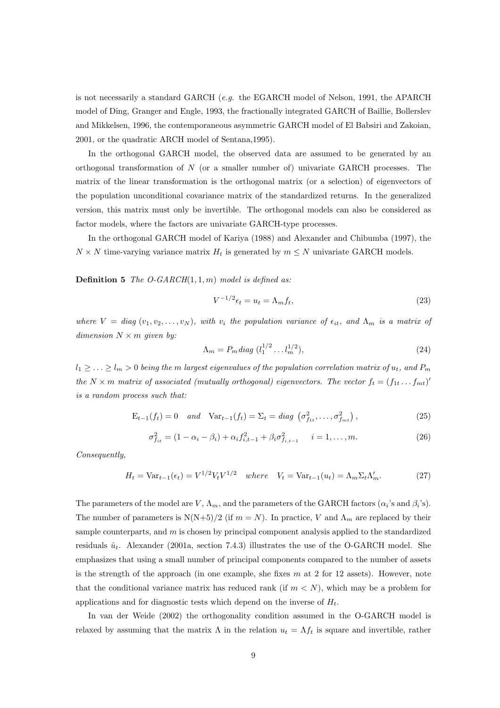is not necessarily a standard GARCH (e.g. the EGARCH model of Nelson, 1991, the APARCH model of Ding, Granger and Engle, 1993, the fractionally integrated GARCH of Baillie, Bollerslev and Mikkelsen, 1996, the contemporaneous asymmetric GARCH model of El Babsiri and Zakoian, 2001, or the quadratic ARCH model of Sentana,1995).

In the orthogonal GARCH model, the observed data are assumed to be generated by an orthogonal transformation of  $N$  (or a smaller number of) univariate GARCH processes. The matrix of the linear transformation is the orthogonal matrix (or a selection) of eigenvectors of the population unconditional covariance matrix of the standardized returns. In the generalized version, this matrix must only be invertible. The orthogonal models can also be considered as factor models, where the factors are univariate GARCH-type processes.

In the orthogonal GARCH model of Kariya (1988) and Alexander and Chibumba (1997), the  $N \times N$  time-varying variance matrix  $H_t$  is generated by  $m \leq N$  univariate GARCH models.

**Definition 5** The  $O-GARCH(1, 1, m)$  model is defined as:

$$
V^{-1/2}\epsilon_t = u_t = \Lambda_m f_t,\tag{23}
$$

where  $V = diag(v_1, v_2, \ldots, v_N)$ , with  $v_i$  the population variance of  $\epsilon_{it}$ , and  $\Lambda_m$  is a matrix of dimension  $N \times m$  given by:

$$
\Lambda_m = P_m \, \text{diag} \, \left( l_1^{1/2} \dots l_m^{1/2} \right), \tag{24}
$$

 $l_1 \geq \ldots \geq l_m > 0$  being the m largest eigenvalues of the population correlation matrix of  $u_t$ , and  $P_m$ the  $N \times m$  matrix of associated (mutually orthogonal) eigenvectors. The vector  $f_t = (f_{1t} \dots f_{mt})'$ is a random process such that:

$$
E_{t-1}(f_t) = 0 \quad and \quad Var_{t-1}(f_t) = \Sigma_t = diag\left(\sigma_{f_{1t}}^2, \dots, \sigma_{f_{mt}}^2\right),\tag{25}
$$

$$
\sigma_{f_{it}}^2 = (1 - \alpha_i - \beta_i) + \alpha_i f_{i,t-1}^2 + \beta_i \sigma_{f_{i,t-1}}^2 \qquad i = 1, \dots, m. \tag{26}
$$

Consequently,

$$
H_t = \text{Var}_{t-1}(\epsilon_t) = V^{1/2} V_t V^{1/2} \quad \text{where} \quad V_t = \text{Var}_{t-1}(u_t) = \Lambda_m \Sigma_t \Lambda'_m. \tag{27}
$$

The parameters of the model are V,  $\Lambda_m$ , and the parameters of the GARCH factors  $(\alpha_i$ 's and  $\beta_i$ 's). The number of parameters is  $N(N+5)/2$  (if  $m = N$ ). In practice, V and  $\Lambda_m$  are replaced by their sample counterparts, and  $m$  is chosen by principal component analysis applied to the standardized residuals  $\hat{u}_t$ . Alexander (2001a, section 7.4.3) illustrates the use of the O-GARCH model. She emphasizes that using a small number of principal components compared to the number of assets is the strength of the approach (in one example, she fixes  $m$  at 2 for 12 assets). However, note that the conditional variance matrix has reduced rank (if  $m < N$ ), which may be a problem for applications and for diagnostic tests which depend on the inverse of  $H_t$ .

In van der Weide (2002) the orthogonality condition assumed in the O-GARCH model is relaxed by assuming that the matrix  $\Lambda$  in the relation  $u_t = \Lambda f_t$  is square and invertible, rather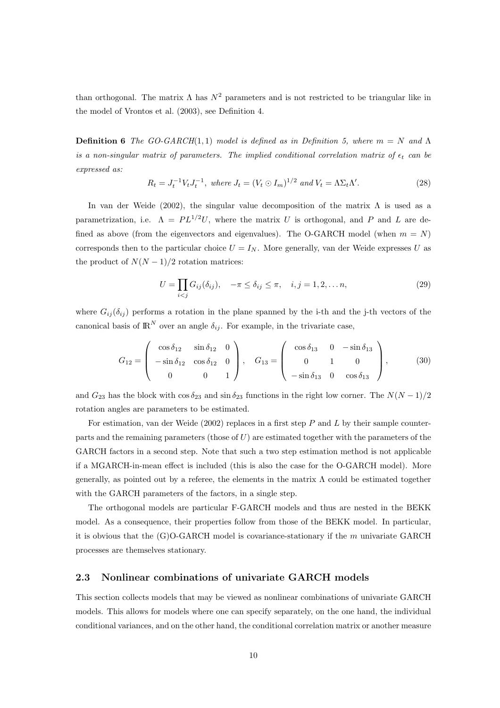than orthogonal. The matrix  $\Lambda$  has  $N^2$  parameters and is not restricted to be triangular like in the model of Vrontos et al. (2003), see Definition 4.

**Definition 6** The GO-GARCH(1,1) model is defined as in Definition 5, where  $m = N$  and  $\Lambda$ is a non-singular matrix of parameters. The implied conditional correlation matrix of  $\epsilon_t$  can be expressed as:

$$
R_t = J_t^{-1} V_t J_t^{-1}, \text{ where } J_t = (V_t \odot I_m)^{1/2} \text{ and } V_t = \Lambda \Sigma_t \Lambda'. \tag{28}
$$

In van der Weide (2002), the singular value decomposition of the matrix  $\Lambda$  is used as a parametrization, i.e.  $\Lambda = PL^{1/2}U$ , where the matrix U is orthogonal, and P and L are defined as above (from the eigenvectors and eigenvalues). The O-GARCH model (when  $m = N$ ) corresponds then to the particular choice  $U = I_N$ . More generally, van der Weide expresses U as the product of  $N(N-1)/2$  rotation matrices:

$$
U = \prod_{i < j} G_{ij}(\delta_{ij}), \quad -\pi \le \delta_{ij} \le \pi, \quad i, j = 1, 2, \dots n,
$$
\n(29)

where  $G_{ij}(\delta_{ij})$  performs a rotation in the plane spanned by the i-th and the j-th vectors of the canonical basis of  $\mathbb{R}^N$  over an angle  $\delta_{ij}$ . For example, in the trivariate case,

$$
G_{12} = \begin{pmatrix} \cos \delta_{12} & \sin \delta_{12} & 0 \\ -\sin \delta_{12} & \cos \delta_{12} & 0 \\ 0 & 0 & 1 \end{pmatrix}, \quad G_{13} = \begin{pmatrix} \cos \delta_{13} & 0 & -\sin \delta_{13} \\ 0 & 1 & 0 \\ -\sin \delta_{13} & 0 & \cos \delta_{13} \end{pmatrix}, \quad (30)
$$

and  $G_{23}$  has the block with cos  $\delta_{23}$  and sin  $\delta_{23}$  functions in the right low corner. The  $N(N-1)/2$ rotation angles are parameters to be estimated.

For estimation, van der Weide (2002) replaces in a first step  $P$  and  $L$  by their sample counterparts and the remaining parameters (those of  $U$ ) are estimated together with the parameters of the GARCH factors in a second step. Note that such a two step estimation method is not applicable if a MGARCH-in-mean effect is included (this is also the case for the O-GARCH model). More generally, as pointed out by a referee, the elements in the matrix  $\Lambda$  could be estimated together with the GARCH parameters of the factors, in a single step.

The orthogonal models are particular F-GARCH models and thus are nested in the BEKK model. As a consequence, their properties follow from those of the BEKK model. In particular, it is obvious that the  $(G)O-GARCH$  model is covariance-stationary if the m univariate GARCH processes are themselves stationary.

### 2.3 Nonlinear combinations of univariate GARCH models

This section collects models that may be viewed as nonlinear combinations of univariate GARCH models. This allows for models where one can specify separately, on the one hand, the individual conditional variances, and on the other hand, the conditional correlation matrix or another measure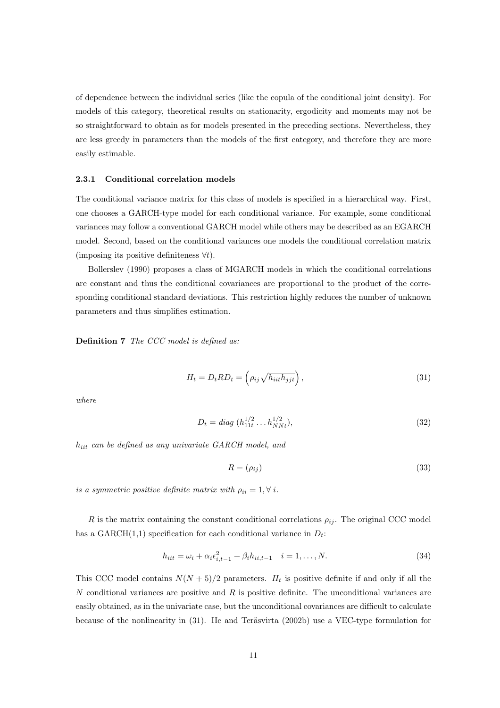of dependence between the individual series (like the copula of the conditional joint density). For models of this category, theoretical results on stationarity, ergodicity and moments may not be so straightforward to obtain as for models presented in the preceding sections. Nevertheless, they are less greedy in parameters than the models of the first category, and therefore they are more easily estimable.

### 2.3.1 Conditional correlation models

The conditional variance matrix for this class of models is specified in a hierarchical way. First, one chooses a GARCH-type model for each conditional variance. For example, some conditional variances may follow a conventional GARCH model while others may be described as an EGARCH model. Second, based on the conditional variances one models the conditional correlation matrix (imposing its positive definiteness  $\forall t$ ).

Bollerslev (1990) proposes a class of MGARCH models in which the conditional correlations are constant and thus the conditional covariances are proportional to the product of the corresponding conditional standard deviations. This restriction highly reduces the number of unknown parameters and thus simplifies estimation.

Definition 7 The CCC model is defined as:

$$
H_t = D_t R D_t = \left(\rho_{ij} \sqrt{h_{iit} h_{jjt}}\right),\tag{31}
$$

where

$$
D_t = diag\ (h_{11t}^{1/2} \dots h_{NNt}^{1/2}),\tag{32}
$$

hiit can be defined as any univariate GARCH model, and

$$
R = (\rho_{ij}) \tag{33}
$$

is a symmetric positive definite matrix with  $\rho_{ii} = 1, \forall i$ .

R is the matrix containing the constant conditional correlations  $\rho_{ii}$ . The original CCC model has a GARCH(1,1) specification for each conditional variance in  $D_t$ :

$$
h_{iit} = \omega_i + \alpha_i \epsilon_{i,t-1}^2 + \beta_i h_{i,i,t-1} \quad i = 1, ..., N. \tag{34}
$$

This CCC model contains  $N(N + 5)/2$  parameters.  $H_t$  is positive definite if and only if all the  $N$  conditional variances are positive and  $R$  is positive definite. The unconditional variances are easily obtained, as in the univariate case, but the unconditional covariances are difficult to calculate because of the nonlinearity in  $(31)$ . He and Teräsvirta  $(2002b)$  use a VEC-type formulation for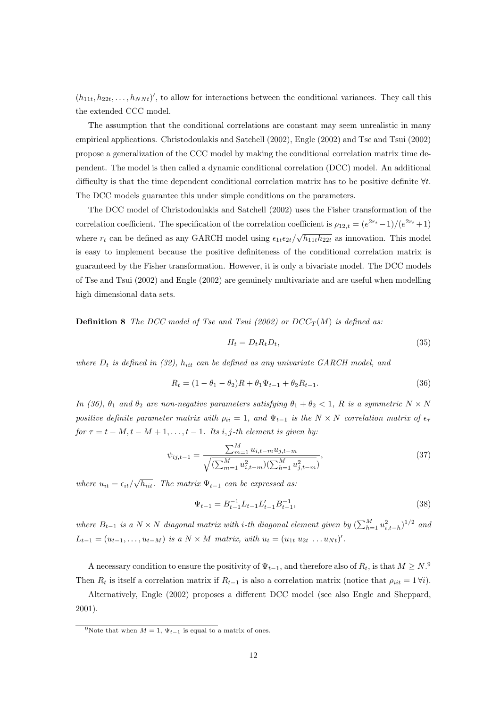$(h_{11t}, h_{22t}, \ldots, h_{NNt})'$ , to allow for interactions between the conditional variances. They call this the extended CCC model.

The assumption that the conditional correlations are constant may seem unrealistic in many empirical applications. Christodoulakis and Satchell (2002), Engle (2002) and Tse and Tsui (2002) propose a generalization of the CCC model by making the conditional correlation matrix time dependent. The model is then called a dynamic conditional correlation (DCC) model. An additional difficulty is that the time dependent conditional correlation matrix has to be positive definite ∀t. The DCC models guarantee this under simple conditions on the parameters.

The DCC model of Christodoulakis and Satchell (2002) uses the Fisher transformation of the correlation coefficient. The specification of the correlation coefficient is  $\rho_{12,t} = (e^{2rt} - 1)/(e^{2rt} + 1)$ where  $r_t$  can be defined as any GARCH model using  $\epsilon_{1t}\epsilon_{2t}/\sqrt{h_{11t}h_{22t}}$  as innovation. This model is easy to implement because the positive definiteness of the conditional correlation matrix is guaranteed by the Fisher transformation. However, it is only a bivariate model. The DCC models of Tse and Tsui (2002) and Engle (2002) are genuinely multivariate and are useful when modelling high dimensional data sets.

**Definition 8** The DCC model of Tse and Tsui (2002) or  $DCC_T(M)$  is defined as:

$$
H_t = D_t R_t D_t,\tag{35}
$$

where  $D_t$  is defined in (32),  $h_{iit}$  can be defined as any univariate GARCH model, and

$$
R_t = (1 - \theta_1 - \theta_2)R + \theta_1 \Psi_{t-1} + \theta_2 R_{t-1}.
$$
\n(36)

In (36),  $\theta_1$  and  $\theta_2$  are non-negative parameters satisfying  $\theta_1 + \theta_2 < 1$ , R is a symmetric  $N \times N$ positive definite parameter matrix with  $\rho_{ii} = 1$ , and  $\Psi_{t-1}$  is the  $N \times N$  correlation matrix of  $\epsilon_{\tau}$ for  $\tau = t - M, t - M + 1, \ldots, t - 1$ . Its i, j-th element is given by:

$$
\psi_{ij,t-1} = \frac{\sum_{m=1}^{M} u_{i,t-m} u_{j,t-m}}{\sqrt{(\sum_{m=1}^{M} u_{i,t-m}^2)(\sum_{h=1}^{M} u_{j,t-m}^2)}},
$$
\n(37)

where  $u_{it} = \epsilon_{it}/\sqrt{h_{it}}$ . The matrix  $\Psi_{t-1}$  can be expressed as:

$$
\Psi_{t-1} = B_{t-1}^{-1} L_{t-1} L'_{t-1} B_{t-1}^{-1},\tag{38}
$$

where  $B_{t-1}$  is a  $N \times N$  diagonal matrix with i-th diagonal element given by  $(\sum_{h=1}^{M} u_{i,t-h}^2)^{1/2}$  and  $L_{t-1} = (u_{t-1}, \ldots, u_{t-M})$  is a  $N \times M$  matrix, with  $u_t = (u_{1t} u_{2t} \ldots u_{Nt})'$ .

A necessary condition to ensure the positivity of  $\Psi_{t-1}$ , and therefore also of  $R_t$ , is that  $M \geq N$ .<sup>9</sup> Then  $R_t$  is itself a correlation matrix if  $R_{t-1}$  is also a correlation matrix (notice that  $\rho_{iit} = 1 \forall i$ ).

Alternatively, Engle (2002) proposes a different DCC model (see also Engle and Sheppard, 2001).

<sup>&</sup>lt;sup>9</sup>Note that when  $M = 1$ ,  $\Psi_{t-1}$  is equal to a matrix of ones.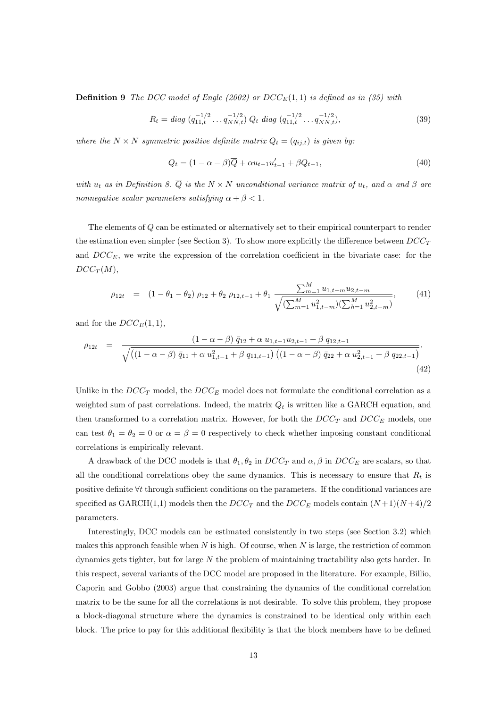**Definition 9** The DCC model of Engle (2002) or  $DCC_E(1, 1)$  is defined as in (35) with

$$
R_t = diag\left(q_{11,t}^{-1/2} \dots q_{NN,t}^{-1/2}\right) Q_t \ diag\left(q_{11,t}^{-1/2} \dots q_{NN,t}^{-1/2}\right),\tag{39}
$$

where the  $N \times N$  symmetric positive definite matrix  $Q_t = (q_{ij,t})$  is given by:

$$
Q_t = (1 - \alpha - \beta)\overline{Q} + \alpha u_{t-1}u'_{t-1} + \beta Q_{t-1},\tag{40}
$$

with  $u_t$  as in Definition 8.  $\overline{Q}$  is the  $N \times N$  unconditional variance matrix of  $u_t$ , and  $\alpha$  and  $\beta$  are nonnegative scalar parameters satisfying  $\alpha + \beta < 1$ .

The elements of  $\overline{Q}$  can be estimated or alternatively set to their empirical counterpart to render the estimation even simpler (see Section 3). To show more explicitly the difference between  $DCC_T$ and  $DCC_E$ , we write the expression of the correlation coefficient in the bivariate case: for the  $DCC_T(M),$ 

$$
\rho_{12t} = (1 - \theta_1 - \theta_2) \rho_{12} + \theta_2 \rho_{12,t-1} + \theta_1 \frac{\sum_{m=1}^{M} u_{1,t-m} u_{2,t-m}}{\sqrt{(\sum_{m=1}^{M} u_{1,t-m}^2)(\sum_{h=1}^{M} u_{2,t-m}^2)}},
$$
(41)

and for the  $DCC_E(1, 1)$ ,

$$
\rho_{12t} = \frac{\left(1 - \alpha - \beta\right) \bar{q}_{12} + \alpha u_{1,t-1} u_{2,t-1} + \beta q_{12,t-1}}{\sqrt{\left(\left(1 - \alpha - \beta\right) \bar{q}_{11} + \alpha u_{1,t-1}^2 + \beta q_{11,t-1}\right) \left(\left(1 - \alpha - \beta\right) \bar{q}_{22} + \alpha u_{2,t-1}^2 + \beta q_{22,t-1}\right)}}.
$$
\n(42)

Unlike in the  $DCC_T$  model, the  $DCC_E$  model does not formulate the conditional correlation as a weighted sum of past correlations. Indeed, the matrix  $Q_t$  is written like a GARCH equation, and then transformed to a correlation matrix. However, for both the  $DCC_T$  and  $DCC_E$  models, one can test  $\theta_1 = \theta_2 = 0$  or  $\alpha = \beta = 0$  respectively to check whether imposing constant conditional correlations is empirically relevant.

A drawback of the DCC models is that  $\theta_1, \theta_2$  in  $DCC_T$  and  $\alpha, \beta$  in  $DCC_E$  are scalars, so that all the conditional correlations obey the same dynamics. This is necessary to ensure that  $R_t$  is positive definite ∀t through sufficient conditions on the parameters. If the conditional variances are specified as GARCH(1,1) models then the  $DCC_T$  and the  $DCC_E$  models contain  $(N+1)(N+4)/2$ parameters.

Interestingly, DCC models can be estimated consistently in two steps (see Section 3.2) which makes this approach feasible when  $N$  is high. Of course, when  $N$  is large, the restriction of common dynamics gets tighter, but for large  $N$  the problem of maintaining tractability also gets harder. In this respect, several variants of the DCC model are proposed in the literature. For example, Billio, Caporin and Gobbo (2003) argue that constraining the dynamics of the conditional correlation matrix to be the same for all the correlations is not desirable. To solve this problem, they propose a block-diagonal structure where the dynamics is constrained to be identical only within each block. The price to pay for this additional flexibility is that the block members have to be defined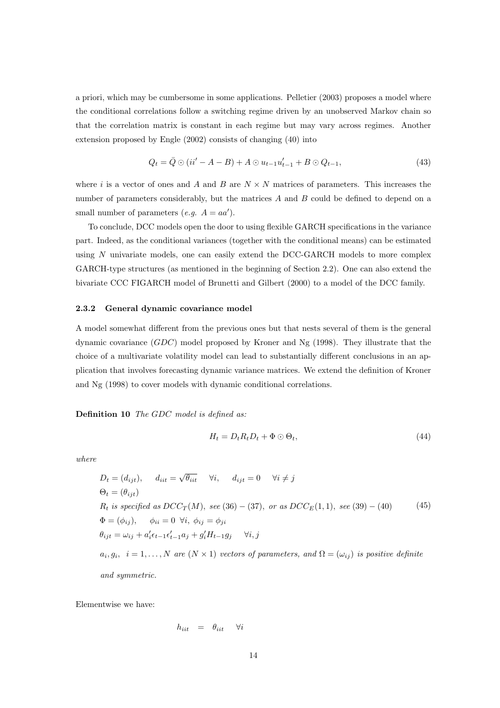a priori, which may be cumbersome in some applications. Pelletier (2003) proposes a model where the conditional correlations follow a switching regime driven by an unobserved Markov chain so that the correlation matrix is constant in each regime but may vary across regimes. Another extension proposed by Engle (2002) consists of changing (40) into

$$
Q_t = \bar{Q} \odot (ii' - A - B) + A \odot u_{t-1}u'_{t-1} + B \odot Q_{t-1},
$$
\n(43)

where i is a vector of ones and A and B are  $N \times N$  matrices of parameters. This increases the number of parameters considerably, but the matrices  $A$  and  $B$  could be defined to depend on a small number of parameters  $(e.g. A = aa').$ 

To conclude, DCC models open the door to using flexible GARCH specifications in the variance part. Indeed, as the conditional variances (together with the conditional means) can be estimated using N univariate models, one can easily extend the DCC-GARCH models to more complex GARCH-type structures (as mentioned in the beginning of Section 2.2). One can also extend the bivariate CCC FIGARCH model of Brunetti and Gilbert (2000) to a model of the DCC family.

#### 2.3.2 General dynamic covariance model

A model somewhat different from the previous ones but that nests several of them is the general dynamic covariance (GDC) model proposed by Kroner and Ng (1998). They illustrate that the choice of a multivariate volatility model can lead to substantially different conclusions in an application that involves forecasting dynamic variance matrices. We extend the definition of Kroner and Ng (1998) to cover models with dynamic conditional correlations.

#### Definition 10 The GDC model is defined as:

$$
H_t = D_t R_t D_t + \Phi \odot \Theta_t, \qquad (44)
$$

where

 $D_t = (d_{ijt}), \quad d_{iit} = \sqrt{\theta_{iit}} \quad \forall i, \quad d_{ijt} = 0 \quad \forall i \neq j$  $\Theta_t = (\theta_{ijt})$  $R_t$  is specified as  $DCC_T(M)$ , see (36) – (37), or as  $DCC_E(1,1)$ , see (39) – (40)  $\Phi = (\phi_{ij}), \quad \phi_{ii} = 0 \ \forall i, \ \phi_{ij} = \phi_{ji}$  $\theta_{ijt} = \omega_{ij} + a'_i \epsilon_{t-1} \epsilon'_{t-1} a_j + g'_i H_{t-1} g_j \quad \forall i, j$ (45)  $a_i, g_i, i = 1, \ldots, N$  are  $(N \times 1)$  vectors of parameters, and  $\Omega = (\omega_{ij})$  is positive definite and symmetric.

Elementwise we have:

$$
h_{iit} = \theta_{iit} \quad \forall i
$$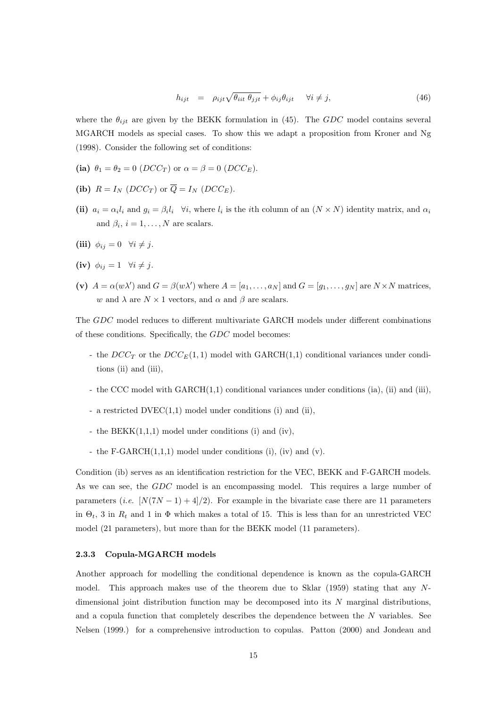$$
h_{ijt} = \rho_{ijt}\sqrt{\theta_{iit} \theta_{jjt}} + \phi_{ij}\theta_{ijt} \quad \forall i \neq j,
$$
\n(46)

where the  $\theta_{ijt}$  are given by the BEKK formulation in (45). The GDC model contains several MGARCH models as special cases. To show this we adapt a proposition from Kroner and Ng (1998). Consider the following set of conditions:

- (ia)  $\theta_1 = \theta_2 = 0$  (DCC<sub>T</sub>) or  $\alpha = \beta = 0$  (DCC<sub>F</sub>).
- (ib)  $R = I_N$  (DCC<sub>T</sub>) or  $\overline{Q} = I_N$  (DCC<sub>E</sub>).
- (ii)  $a_i = \alpha_i l_i$  and  $g_i = \beta_i l_i$   $\forall i$ , where  $l_i$  is the *i*th column of an  $(N \times N)$  identity matrix, and  $\alpha_i$ and  $\beta_i$ ,  $i = 1, ..., N$  are scalars.
- (iii)  $\phi_{ij} = 0 \quad \forall i \neq j$ .
- (iv)  $\phi_{ij} = 1 \quad \forall i \neq j$ .
- (v)  $A = \alpha(w\lambda')$  and  $G = \beta(w\lambda')$  where  $A = [a_1, \ldots, a_N]$  and  $G = [g_1, \ldots, g_N]$  are  $N \times N$  matrices, w and  $\lambda$  are  $N \times 1$  vectors, and  $\alpha$  and  $\beta$  are scalars.

The GDC model reduces to different multivariate GARCH models under different combinations of these conditions. Specifically, the GDC model becomes:

- the  $DCC_T$  or the  $DCC_E(1, 1)$  model with GARCH(1,1) conditional variances under conditions (ii) and (iii),
- the CCC model with GARCH(1,1) conditional variances under conditions (ia), (ii) and (iii),
- a restricted DVEC(1,1) model under conditions (i) and (ii),
- the  $BEKK(1,1,1)$  model under conditions (i) and (iv),
- the  $F\text{-}\text{GARCH}(1,1,1)$  model under conditions (i), (iv) and (v).

Condition (ib) serves as an identification restriction for the VEC, BEKK and F-GARCH models. As we can see, the GDC model is an encompassing model. This requires a large number of parameters (*i.e.*  $[N(7N-1)+4]/2)$ ). For example in the bivariate case there are 11 parameters in  $\Theta_t$ , 3 in  $R_t$  and 1 in  $\Phi$  which makes a total of 15. This is less than for an unrestricted VEC model (21 parameters), but more than for the BEKK model (11 parameters).

#### 2.3.3 Copula-MGARCH models

Another approach for modelling the conditional dependence is known as the copula-GARCH model. This approach makes use of the theorem due to Sklar (1959) stating that any Ndimensional joint distribution function may be decomposed into its  $N$  marginal distributions, and a copula function that completely describes the dependence between the  $N$  variables. See Nelsen (1999.) for a comprehensive introduction to copulas. Patton (2000) and Jondeau and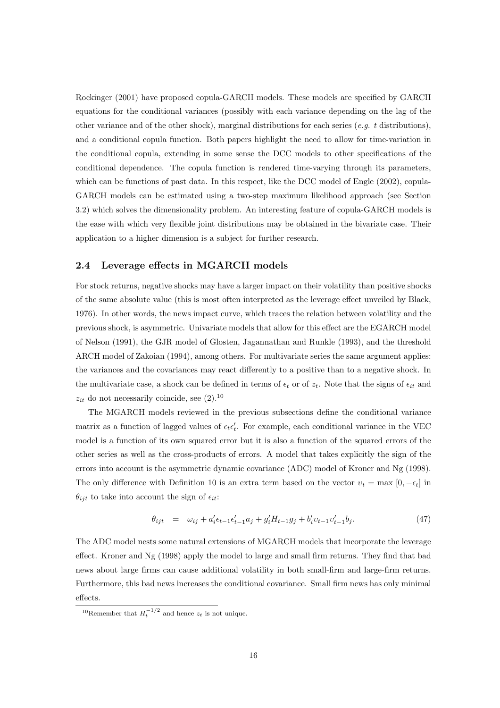Rockinger (2001) have proposed copula-GARCH models. These models are specified by GARCH equations for the conditional variances (possibly with each variance depending on the lag of the other variance and of the other shock), marginal distributions for each series (e.g. t distributions), and a conditional copula function. Both papers highlight the need to allow for time-variation in the conditional copula, extending in some sense the DCC models to other specifications of the conditional dependence. The copula function is rendered time-varying through its parameters, which can be functions of past data. In this respect, like the DCC model of Engle (2002), copula-GARCH models can be estimated using a two-step maximum likelihood approach (see Section 3.2) which solves the dimensionality problem. An interesting feature of copula-GARCH models is the ease with which very flexible joint distributions may be obtained in the bivariate case. Their application to a higher dimension is a subject for further research.

### 2.4 Leverage effects in MGARCH models

For stock returns, negative shocks may have a larger impact on their volatility than positive shocks of the same absolute value (this is most often interpreted as the leverage effect unveiled by Black, 1976). In other words, the news impact curve, which traces the relation between volatility and the previous shock, is asymmetric. Univariate models that allow for this effect are the EGARCH model of Nelson (1991), the GJR model of Glosten, Jagannathan and Runkle (1993), and the threshold ARCH model of Zakoian (1994), among others. For multivariate series the same argument applies: the variances and the covariances may react differently to a positive than to a negative shock. In the multivariate case, a shock can be defined in terms of  $\epsilon_t$  or of  $z_t$ . Note that the signs of  $\epsilon_{it}$  and  $z_{it}$  do not necessarily coincide, see (2).<sup>10</sup>

The MGARCH models reviewed in the previous subsections define the conditional variance matrix as a function of lagged values of  $\epsilon_t \epsilon'_t$ . For example, each conditional variance in the VEC model is a function of its own squared error but it is also a function of the squared errors of the other series as well as the cross-products of errors. A model that takes explicitly the sign of the errors into account is the asymmetric dynamic covariance (ADC) model of Kroner and Ng (1998). The only difference with Definition 10 is an extra term based on the vector  $v_t = \max [0, -\epsilon_t]$  in  $\theta_{ijt}$  to take into account the sign of  $\epsilon_{it}$ :

$$
\theta_{ijt} = \omega_{ij} + a'_i \epsilon_{t-1} \epsilon'_{t-1} a_j + g'_i H_{t-1} g_j + b'_i v_{t-1} v'_{t-1} b_j. \tag{47}
$$

The ADC model nests some natural extensions of MGARCH models that incorporate the leverage effect. Kroner and Ng (1998) apply the model to large and small firm returns. They find that bad news about large firms can cause additional volatility in both small-firm and large-firm returns. Furthermore, this bad news increases the conditional covariance. Small firm news has only minimal effects.

<sup>&</sup>lt;sup>10</sup>Remember that  $H_t^{-1/2}$  and hence  $z_t$  is not unique.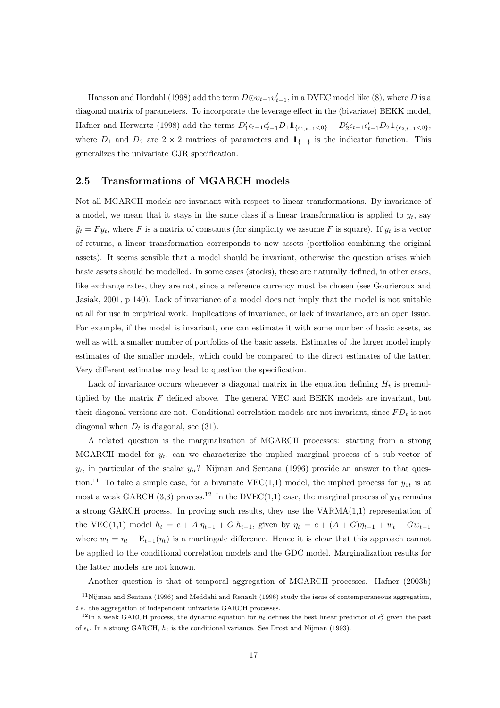Hansson and Hordahl (1998) add the term  $D\odot v_{t-1}v'_{t-1}$ , in a DVEC model like (8), where D is a diagonal matrix of parameters. To incorporate the leverage effect in the (bivariate) BEKK model, Hafner and Herwartz (1998) add the terms  $D'_1 \epsilon_{t-1} \epsilon'_{t-1} D_1 \mathbb{1}_{\{\epsilon_{1,t-1} < 0\}} + D'_2 \epsilon_{t-1} \epsilon'_{t-1} D_2 \mathbb{1}_{\{\epsilon_{2,t-1} < 0\}},$ where  $D_1$  and  $D_2$  are  $2 \times 2$  matrices of parameters and  $\mathbb{1}_{\{\ldots\}}$  is the indicator function. This generalizes the univariate GJR specification.

#### 2.5 Transformations of MGARCH models

Not all MGARCH models are invariant with respect to linear transformations. By invariance of a model, we mean that it stays in the same class if a linear transformation is applied to  $y_t$ , say  $\tilde{y}_t = F y_t$ , where F is a matrix of constants (for simplicity we assume F is square). If  $y_t$  is a vector of returns, a linear transformation corresponds to new assets (portfolios combining the original assets). It seems sensible that a model should be invariant, otherwise the question arises which basic assets should be modelled. In some cases (stocks), these are naturally defined, in other cases, like exchange rates, they are not, since a reference currency must be chosen (see Gourieroux and Jasiak, 2001, p 140). Lack of invariance of a model does not imply that the model is not suitable at all for use in empirical work. Implications of invariance, or lack of invariance, are an open issue. For example, if the model is invariant, one can estimate it with some number of basic assets, as well as with a smaller number of portfolios of the basic assets. Estimates of the larger model imply estimates of the smaller models, which could be compared to the direct estimates of the latter. Very different estimates may lead to question the specification.

Lack of invariance occurs whenever a diagonal matrix in the equation defining  $H_t$  is premultiplied by the matrix  $F$  defined above. The general VEC and BEKK models are invariant, but their diagonal versions are not. Conditional correlation models are not invariant, since  $FD<sub>t</sub>$  is not diagonal when  $D_t$  is diagonal, see (31).

A related question is the marginalization of MGARCH processes: starting from a strong MGARCH model for  $y_t$ , can we characterize the implied marginal process of a sub-vector of  $y_t$ , in particular of the scalar  $y_{it}$ ? Nijman and Sentana (1996) provide an answer to that question.<sup>11</sup> To take a simple case, for a bivariate VEC(1,1) model, the implied process for  $y_{1t}$  is at most a weak GARCH (3,3) process.<sup>12</sup> In the DVEC(1,1) case, the marginal process of  $y_{1t}$  remains a strong GARCH process. In proving such results, they use the  $VARMA(1,1)$  representation of the VEC(1,1) model  $h_t = c + A \eta_{t-1} + G h_{t-1}$ , given by  $\eta_t = c + (A + G)\eta_{t-1} + w_t - G w_{t-1}$ where  $w_t = \eta_t - \mathbb{E}_{t-1}(\eta_t)$  is a martingale difference. Hence it is clear that this approach cannot be applied to the conditional correlation models and the GDC model. Marginalization results for the latter models are not known.

Another question is that of temporal aggregation of MGARCH processes. Hafner (2003b)

 $11$ Nijman and Sentana (1996) and Meddahi and Renault (1996) study the issue of contemporaneous aggregation, i.e. the aggregation of independent univariate GARCH processes.

<sup>&</sup>lt;sup>12</sup>In a weak GARCH process, the dynamic equation for  $h_t$  defines the best linear predictor of  $\epsilon_t^2$  given the past of  $\epsilon_t$ . In a strong GARCH,  $h_t$  is the conditional variance. See Drost and Nijman (1993).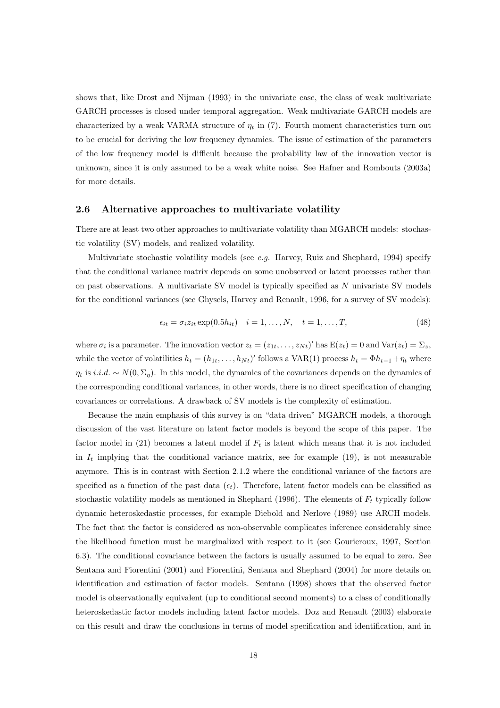shows that, like Drost and Nijman (1993) in the univariate case, the class of weak multivariate GARCH processes is closed under temporal aggregation. Weak multivariate GARCH models are characterized by a weak VARMA structure of  $\eta_t$  in (7). Fourth moment characteristics turn out to be crucial for deriving the low frequency dynamics. The issue of estimation of the parameters of the low frequency model is difficult because the probability law of the innovation vector is unknown, since it is only assumed to be a weak white noise. See Hafner and Rombouts (2003a) for more details.

#### 2.6 Alternative approaches to multivariate volatility

There are at least two other approaches to multivariate volatility than MGARCH models: stochastic volatility (SV) models, and realized volatility.

Multivariate stochastic volatility models (see  $e.g.$  Harvey, Ruiz and Shephard, 1994) specify that the conditional variance matrix depends on some unobserved or latent processes rather than on past observations. A multivariate SV model is typically specified as N univariate SV models for the conditional variances (see Ghysels, Harvey and Renault, 1996, for a survey of SV models):

$$
\epsilon_{it} = \sigma_i z_{it} \exp(0.5h_{it}) \quad i = 1, \dots, N, \quad t = 1, \dots, T,
$$
\n
$$
(48)
$$

where  $\sigma_i$  is a parameter. The innovation vector  $z_t = (z_{1t}, \ldots, z_{Nt})'$  has  $E(z_t) = 0$  and  $Var(z_t) = \Sigma_z$ , while the vector of volatilities  $h_t = (h_{1t}, \ldots, h_{Nt})'$  follows a VAR(1) process  $h_t = \Phi h_{t-1} + \eta_t$  where  $\eta_t$  is *i.i.d.* ~  $N(0, \Sigma_{\eta})$ . In this model, the dynamics of the covariances depends on the dynamics of the corresponding conditional variances, in other words, there is no direct specification of changing covariances or correlations. A drawback of SV models is the complexity of estimation.

Because the main emphasis of this survey is on "data driven" MGARCH models, a thorough discussion of the vast literature on latent factor models is beyond the scope of this paper. The factor model in (21) becomes a latent model if  $F_t$  is latent which means that it is not included in  $I_t$  implying that the conditional variance matrix, see for example (19), is not measurable anymore. This is in contrast with Section 2.1.2 where the conditional variance of the factors are specified as a function of the past data  $(\epsilon_t)$ . Therefore, latent factor models can be classified as stochastic volatility models as mentioned in Shephard (1996). The elements of  $F_t$  typically follow dynamic heteroskedastic processes, for example Diebold and Nerlove (1989) use ARCH models. The fact that the factor is considered as non-observable complicates inference considerably since the likelihood function must be marginalized with respect to it (see Gourieroux, 1997, Section 6.3). The conditional covariance between the factors is usually assumed to be equal to zero. See Sentana and Fiorentini (2001) and Fiorentini, Sentana and Shephard (2004) for more details on identification and estimation of factor models. Sentana (1998) shows that the observed factor model is observationally equivalent (up to conditional second moments) to a class of conditionally heteroskedastic factor models including latent factor models. Doz and Renault (2003) elaborate on this result and draw the conclusions in terms of model specification and identification, and in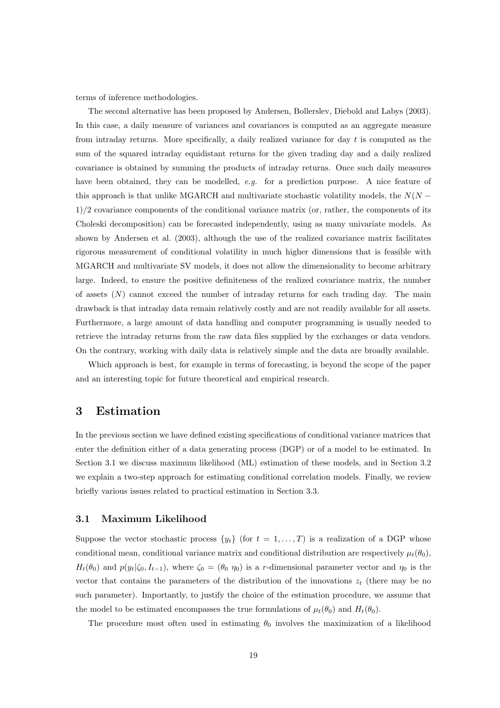terms of inference methodologies.

The second alternative has been proposed by Andersen, Bollerslev, Diebold and Labys (2003). In this case, a daily measure of variances and covariances is computed as an aggregate measure from intraday returns. More specifically, a daily realized variance for day  $t$  is computed as the sum of the squared intraday equidistant returns for the given trading day and a daily realized covariance is obtained by summing the products of intraday returns. Once such daily measures have been obtained, they can be modelled, e.g. for a prediction purpose. A nice feature of this approach is that unlike MGARCH and multivariate stochastic volatility models, the  $N(N -$ 1)/2 covariance components of the conditional variance matrix (or, rather, the components of its Choleski decomposition) can be forecasted independently, using as many univariate models. As shown by Andersen et al. (2003), although the use of the realized covariance matrix facilitates rigorous measurement of conditional volatility in much higher dimensions that is feasible with MGARCH and multivariate SV models, it does not allow the dimensionality to become arbitrary large. Indeed, to ensure the positive definiteness of the realized covariance matrix, the number of assets  $(N)$  cannot exceed the number of intraday returns for each trading day. The main drawback is that intraday data remain relatively costly and are not readily available for all assets. Furthermore, a large amount of data handling and computer programming is usually needed to retrieve the intraday returns from the raw data files supplied by the exchanges or data vendors. On the contrary, working with daily data is relatively simple and the data are broadly available.

Which approach is best, for example in terms of forecasting, is beyond the scope of the paper and an interesting topic for future theoretical and empirical research.

# 3 Estimation

In the previous section we have defined existing specifications of conditional variance matrices that enter the definition either of a data generating process (DGP) or of a model to be estimated. In Section 3.1 we discuss maximum likelihood (ML) estimation of these models, and in Section 3.2 we explain a two-step approach for estimating conditional correlation models. Finally, we review briefly various issues related to practical estimation in Section 3.3.

### 3.1 Maximum Likelihood

Suppose the vector stochastic process  $\{y_t\}$  (for  $t = 1, \ldots, T$ ) is a realization of a DGP whose conditional mean, conditional variance matrix and conditional distribution are respectively  $\mu_t(\theta_0)$ ,  $H_t(\theta_0)$  and  $p(y_t|\zeta_0, I_{t-1})$ , where  $\zeta_0 = (\theta_0 \eta_0)$  is a r-dimensional parameter vector and  $\eta_0$  is the vector that contains the parameters of the distribution of the innovations  $z_t$  (there may be no such parameter). Importantly, to justify the choice of the estimation procedure, we assume that the model to be estimated encompasses the true formulations of  $\mu_t(\theta_0)$  and  $H_t(\theta_0)$ .

The procedure most often used in estimating  $\theta_0$  involves the maximization of a likelihood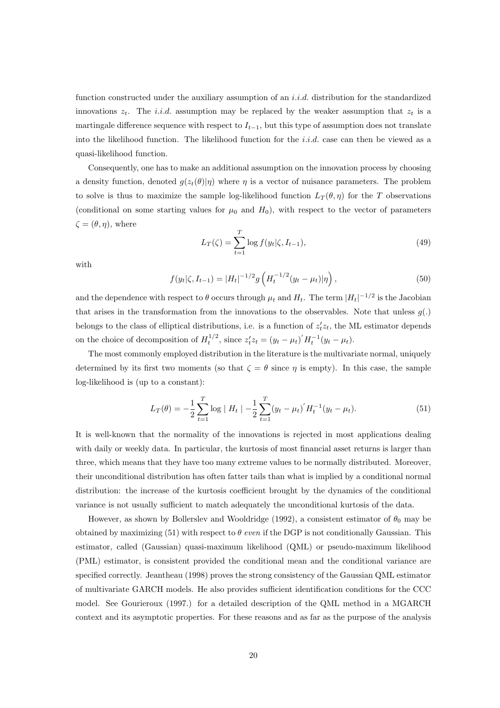function constructed under the auxiliary assumption of an i.i.d. distribution for the standardized innovations  $z_t$ . The *i.i.d.* assumption may be replaced by the weaker assumption that  $z_t$  is a martingale difference sequence with respect to  $I_{t-1}$ , but this type of assumption does not translate into the likelihood function. The likelihood function for the *i.i.d.* case can then be viewed as a quasi-likelihood function.

Consequently, one has to make an additional assumption on the innovation process by choosing a density function, denoted  $g(z_t(\theta)|\eta)$  where  $\eta$  is a vector of nuisance parameters. The problem to solve is thus to maximize the sample log-likelihood function  $L_T(\theta, \eta)$  for the T observations (conditional on some starting values for  $\mu_0$  and  $H_0$ ), with respect to the vector of parameters  $\zeta = (\theta, \eta)$ , where

$$
L_T(\zeta) = \sum_{t=1}^T \log f(y_t | \zeta, I_{t-1}),
$$
\n(49)

with

$$
f(y_t|\zeta, I_{t-1}) = |H_t|^{-1/2} g\left(H_t^{-1/2} (y_t - \mu_t)|\eta\right),\tag{50}
$$

and the dependence with respect to  $\theta$  occurs through  $\mu_t$  and  $H_t$ . The term  $|H_t|^{-1/2}$  is the Jacobian that arises in the transformation from the innovations to the observables. Note that unless  $g(.)$ belongs to the class of elliptical distributions, i.e. is a function of  $z_t^{\prime}z_t$ , the ML estimator depends on the choice of decomposition of  $H_t^{1/2}$ , since  $z_t^{\prime} z_t = (y_t - \mu_t)^{\prime} H_t^{-1} (y_t - \mu_t)$ .

The most commonly employed distribution in the literature is the multivariate normal, uniquely determined by its first two moments (so that  $\zeta = \theta$  since  $\eta$  is empty). In this case, the sample log-likelihood is (up to a constant):

$$
L_T(\theta) = -\frac{1}{2} \sum_{t=1}^T \log |H_t| - \frac{1}{2} \sum_{t=1}^T (y_t - \mu_t)' H_t^{-1} (y_t - \mu_t).
$$
 (51)

It is well-known that the normality of the innovations is rejected in most applications dealing with daily or weekly data. In particular, the kurtosis of most financial asset returns is larger than three, which means that they have too many extreme values to be normally distributed. Moreover, their unconditional distribution has often fatter tails than what is implied by a conditional normal distribution: the increase of the kurtosis coefficient brought by the dynamics of the conditional variance is not usually sufficient to match adequately the unconditional kurtosis of the data.

However, as shown by Bollerslev and Wooldridge (1992), a consistent estimator of  $\theta_0$  may be obtained by maximizing (51) with respect to  $\theta$  even if the DGP is not conditionally Gaussian. This estimator, called (Gaussian) quasi-maximum likelihood (QML) or pseudo-maximum likelihood (PML) estimator, is consistent provided the conditional mean and the conditional variance are specified correctly. Jeantheau (1998) proves the strong consistency of the Gaussian QML estimator of multivariate GARCH models. He also provides sufficient identification conditions for the CCC model. See Gourieroux (1997.) for a detailed description of the QML method in a MGARCH context and its asymptotic properties. For these reasons and as far as the purpose of the analysis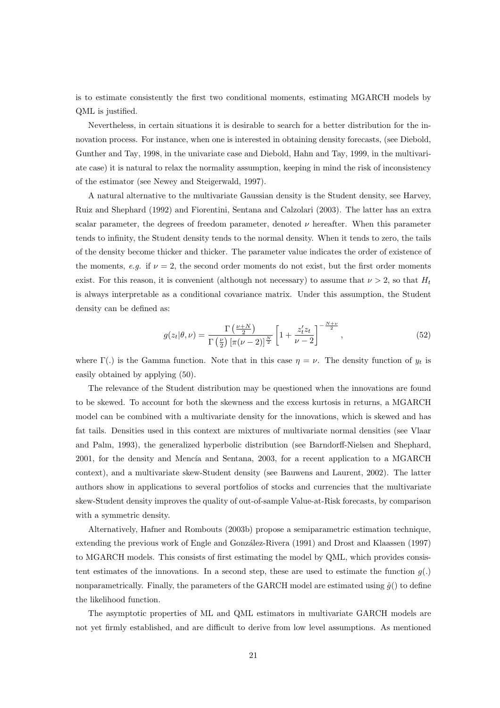is to estimate consistently the first two conditional moments, estimating MGARCH models by QML is justified.

Nevertheless, in certain situations it is desirable to search for a better distribution for the innovation process. For instance, when one is interested in obtaining density forecasts, (see Diebold, Gunther and Tay, 1998, in the univariate case and Diebold, Hahn and Tay, 1999, in the multivariate case) it is natural to relax the normality assumption, keeping in mind the risk of inconsistency of the estimator (see Newey and Steigerwald, 1997).

A natural alternative to the multivariate Gaussian density is the Student density, see Harvey, Ruiz and Shephard (1992) and Fiorentini, Sentana and Calzolari (2003). The latter has an extra scalar parameter, the degrees of freedom parameter, denoted  $\nu$  hereafter. When this parameter tends to infinity, the Student density tends to the normal density. When it tends to zero, the tails of the density become thicker and thicker. The parameter value indicates the order of existence of the moments, e.g. if  $\nu = 2$ , the second order moments do not exist, but the first order moments exist. For this reason, it is convenient (although not necessary) to assume that  $\nu > 2$ , so that  $H_t$ is always interpretable as a conditional covariance matrix. Under this assumption, the Student density can be defined as:

$$
g(z_t|\theta,\nu) = \frac{\Gamma\left(\frac{\nu+N}{2}\right)}{\Gamma\left(\frac{\nu}{2}\right)\left[\pi(\nu-2)\right]^{\frac{N}{2}}}\left[1+\frac{z_t^{\prime}z_t}{\nu-2}\right]^{-\frac{N+\nu}{2}},\tag{52}
$$

where Γ(.) is the Gamma function. Note that in this case  $\eta = \nu$ . The density function of  $y_t$  is easily obtained by applying (50).

The relevance of the Student distribution may be questioned when the innovations are found to be skewed. To account for both the skewness and the excess kurtosis in returns, a MGARCH model can be combined with a multivariate density for the innovations, which is skewed and has fat tails. Densities used in this context are mixtures of multivariate normal densities (see Vlaar and Palm, 1993), the generalized hyperbolic distribution (see Barndorff-Nielsen and Shephard, 2001, for the density and Mencía and Sentana, 2003, for a recent application to a MGARCH context), and a multivariate skew-Student density (see Bauwens and Laurent, 2002). The latter authors show in applications to several portfolios of stocks and currencies that the multivariate skew-Student density improves the quality of out-of-sample Value-at-Risk forecasts, by comparison with a symmetric density.

Alternatively, Hafner and Rombouts (2003b) propose a semiparametric estimation technique, extending the previous work of Engle and González-Rivera (1991) and Drost and Klaassen (1997) to MGARCH models. This consists of first estimating the model by QML, which provides consistent estimates of the innovations. In a second step, these are used to estimate the function  $g(.)$ nonparametrically. Finally, the parameters of the GARCH model are estimated using  $\hat{q}()$  to define the likelihood function.

The asymptotic properties of ML and QML estimators in multivariate GARCH models are not yet firmly established, and are difficult to derive from low level assumptions. As mentioned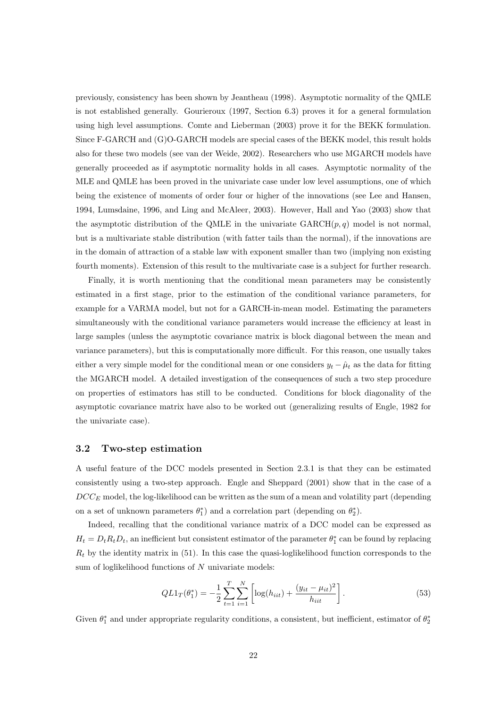previously, consistency has been shown by Jeantheau (1998). Asymptotic normality of the QMLE is not established generally. Gourieroux (1997, Section 6.3) proves it for a general formulation using high level assumptions. Comte and Lieberman (2003) prove it for the BEKK formulation. Since F-GARCH and (G)O-GARCH models are special cases of the BEKK model, this result holds also for these two models (see van der Weide, 2002). Researchers who use MGARCH models have generally proceeded as if asymptotic normality holds in all cases. Asymptotic normality of the MLE and QMLE has been proved in the univariate case under low level assumptions, one of which being the existence of moments of order four or higher of the innovations (see Lee and Hansen, 1994, Lumsdaine, 1996, and Ling and McAleer, 2003). However, Hall and Yao (2003) show that the asymptotic distribution of the QMLE in the univariate  $GARCH(p, q)$  model is not normal, but is a multivariate stable distribution (with fatter tails than the normal), if the innovations are in the domain of attraction of a stable law with exponent smaller than two (implying non existing fourth moments). Extension of this result to the multivariate case is a subject for further research.

Finally, it is worth mentioning that the conditional mean parameters may be consistently estimated in a first stage, prior to the estimation of the conditional variance parameters, for example for a VARMA model, but not for a GARCH-in-mean model. Estimating the parameters simultaneously with the conditional variance parameters would increase the efficiency at least in large samples (unless the asymptotic covariance matrix is block diagonal between the mean and variance parameters), but this is computationally more difficult. For this reason, one usually takes either a very simple model for the conditional mean or one considers  $y_t - \hat{\mu}_t$  as the data for fitting the MGARCH model. A detailed investigation of the consequences of such a two step procedure on properties of estimators has still to be conducted. Conditions for block diagonality of the asymptotic covariance matrix have also to be worked out (generalizing results of Engle, 1982 for the univariate case).

### 3.2 Two-step estimation

A useful feature of the DCC models presented in Section 2.3.1 is that they can be estimated consistently using a two-step approach. Engle and Sheppard (2001) show that in the case of a  $DCC_E$  model, the log-likelihood can be written as the sum of a mean and volatility part (depending on a set of unknown parameters  $\theta_1^*$ ) and a correlation part (depending on  $\theta_2^*$ ).

Indeed, recalling that the conditional variance matrix of a DCC model can be expressed as  $H_t = D_t R_t D_t$ , an inefficient but consistent estimator of the parameter  $\theta_1^*$  can be found by replacing  $R_t$  by the identity matrix in (51). In this case the quasi-loglikelihood function corresponds to the sum of loglikelihood functions of  $N$  univariate models:

$$
QL1_T(\theta_1^*) = -\frac{1}{2} \sum_{t=1}^T \sum_{i=1}^N \left[ \log(h_{iit}) + \frac{(y_{it} - \mu_{it})^2}{h_{iit}} \right].
$$
 (53)

Given  $\theta_1^*$  and under appropriate regularity conditions, a consistent, but inefficient, estimator of  $\theta_2^*$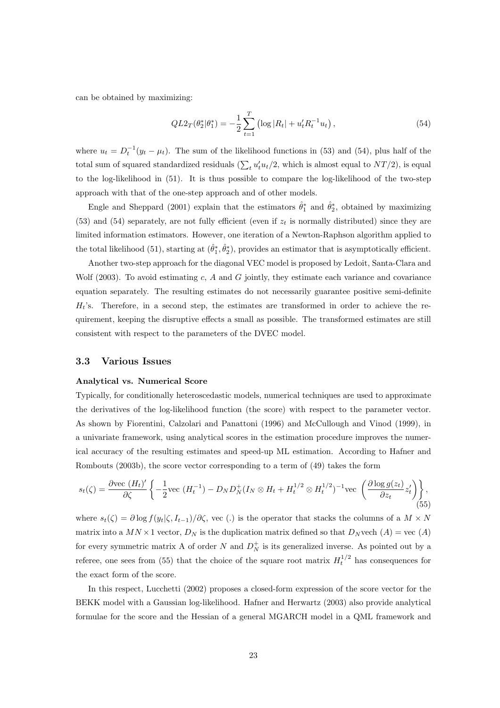can be obtained by maximizing:

$$
QL2_T(\theta_2^*|\theta_1^*) = -\frac{1}{2} \sum_{t=1}^T \left( \log |R_t| + u_t' R_t^{-1} u_t \right),\tag{54}
$$

where  $u_t = D_t^{-1}(y_t - \mu_t)$ . The sum of the likelihood functions in (53) and (54), plus half of the total sum of squared standardized residuals  $(\sum_t u'_t u_t/2$ , which is almost equal to  $NT/2$ ), is equal to the log-likelihood in (51). It is thus possible to compare the log-likelihood of the two-step approach with that of the one-step approach and of other models.

Engle and Sheppard (2001) explain that the estimators  $\hat{\theta}_1^*$  and  $\hat{\theta}_2^*$ , obtained by maximizing (53) and (54) separately, are not fully efficient (even if  $z_t$  is normally distributed) since they are limited information estimators. However, one iteration of a Newton-Raphson algorithm applied to the total likelihood (51), starting at  $(\hat{\theta}_1^*, \hat{\theta}_2^*)$ , provides an estimator that is asymptotically efficient.

Another two-step approach for the diagonal VEC model is proposed by Ledoit, Santa-Clara and Wolf (2003). To avoid estimating c, A and G jointly, they estimate each variance and covariance equation separately. The resulting estimates do not necessarily guarantee positive semi-definite  $H_t$ 's. Therefore, in a second step, the estimates are transformed in order to achieve the requirement, keeping the disruptive effects a small as possible. The transformed estimates are still consistent with respect to the parameters of the DVEC model.

#### 3.3 Various Issues

#### Analytical vs. Numerical Score

Typically, for conditionally heteroscedastic models, numerical techniques are used to approximate the derivatives of the log-likelihood function (the score) with respect to the parameter vector. As shown by Fiorentini, Calzolari and Panattoni (1996) and McCullough and Vinod (1999), in a univariate framework, using analytical scores in the estimation procedure improves the numerical accuracy of the resulting estimates and speed-up ML estimation. According to Hafner and Rombouts (2003b), the score vector corresponding to a term of (49) takes the form

$$
s_t(\zeta) = \frac{\partial \text{vec}(H_t)'}{\partial \zeta} \left\{ -\frac{1}{2} \text{vec}(H_t^{-1}) - D_N D_N^+(I_N \otimes H_t + H_t^{1/2} \otimes H_t^{1/2})^{-1} \text{vec}\left(\frac{\partial \log g(z_t)}{\partial z_t} z'_t\right) \right\},\tag{55}
$$

where  $s_t(\zeta) = \partial \log f(y_t|\zeta, I_{t-1})/\partial \zeta$ , vec (.) is the operator that stacks the columns of a  $M \times N$ matrix into a  $MN \times 1$  vector,  $D_N$  is the duplication matrix defined so that  $D_N$  vech  $(A)$  = vec  $(A)$ for every symmetric matrix A of order N and  $D_N^+$  is its generalized inverse. As pointed out by a referee, one sees from (55) that the choice of the square root matrix  $H_t^{1/2}$  has consequences for the exact form of the score.

In this respect, Lucchetti (2002) proposes a closed-form expression of the score vector for the BEKK model with a Gaussian log-likelihood. Hafner and Herwartz (2003) also provide analytical formulae for the score and the Hessian of a general MGARCH model in a QML framework and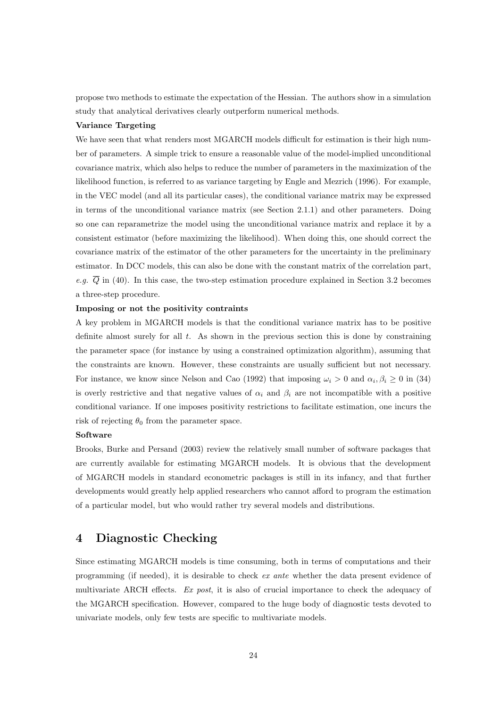propose two methods to estimate the expectation of the Hessian. The authors show in a simulation study that analytical derivatives clearly outperform numerical methods.

#### Variance Targeting

We have seen that what renders most MGARCH models difficult for estimation is their high number of parameters. A simple trick to ensure a reasonable value of the model-implied unconditional covariance matrix, which also helps to reduce the number of parameters in the maximization of the likelihood function, is referred to as variance targeting by Engle and Mezrich (1996). For example, in the VEC model (and all its particular cases), the conditional variance matrix may be expressed in terms of the unconditional variance matrix (see Section 2.1.1) and other parameters. Doing so one can reparametrize the model using the unconditional variance matrix and replace it by a consistent estimator (before maximizing the likelihood). When doing this, one should correct the covariance matrix of the estimator of the other parameters for the uncertainty in the preliminary estimator. In DCC models, this can also be done with the constant matrix of the correlation part, e.g.  $\overline{Q}$  in (40). In this case, the two-step estimation procedure explained in Section 3.2 becomes a three-step procedure.

#### Imposing or not the positivity contraints

A key problem in MGARCH models is that the conditional variance matrix has to be positive definite almost surely for all t. As shown in the previous section this is done by constraining the parameter space (for instance by using a constrained optimization algorithm), assuming that the constraints are known. However, these constraints are usually sufficient but not necessary. For instance, we know since Nelson and Cao (1992) that imposing  $\omega_i > 0$  and  $\alpha_i, \beta_i \ge 0$  in (34) is overly restrictive and that negative values of  $\alpha_i$  and  $\beta_i$  are not incompatible with a positive conditional variance. If one imposes positivity restrictions to facilitate estimation, one incurs the risk of rejecting  $\theta_0$  from the parameter space.

#### Software

Brooks, Burke and Persand (2003) review the relatively small number of software packages that are currently available for estimating MGARCH models. It is obvious that the development of MGARCH models in standard econometric packages is still in its infancy, and that further developments would greatly help applied researchers who cannot afford to program the estimation of a particular model, but who would rather try several models and distributions.

# 4 Diagnostic Checking

Since estimating MGARCH models is time consuming, both in terms of computations and their programming (if needed), it is desirable to check ex ante whether the data present evidence of multivariate ARCH effects. Ex post, it is also of crucial importance to check the adequacy of the MGARCH specification. However, compared to the huge body of diagnostic tests devoted to univariate models, only few tests are specific to multivariate models.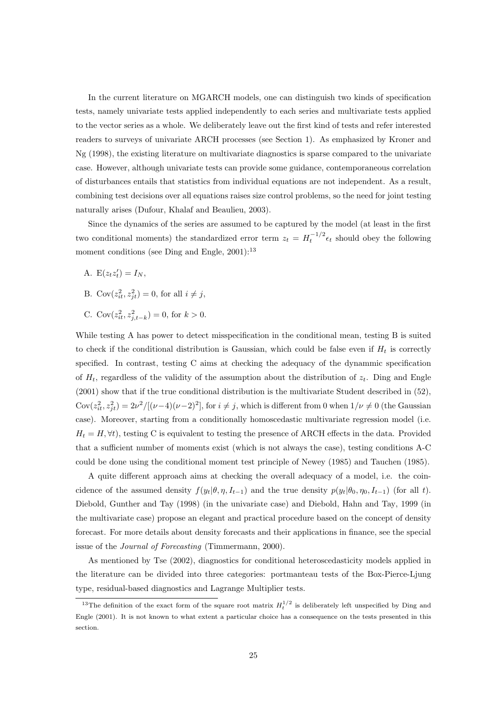In the current literature on MGARCH models, one can distinguish two kinds of specification tests, namely univariate tests applied independently to each series and multivariate tests applied to the vector series as a whole. We deliberately leave out the first kind of tests and refer interested readers to surveys of univariate ARCH processes (see Section 1). As emphasized by Kroner and Ng (1998), the existing literature on multivariate diagnostics is sparse compared to the univariate case. However, although univariate tests can provide some guidance, contemporaneous correlation of disturbances entails that statistics from individual equations are not independent. As a result, combining test decisions over all equations raises size control problems, so the need for joint testing naturally arises (Dufour, Khalaf and Beaulieu, 2003).

Since the dynamics of the series are assumed to be captured by the model (at least in the first two conditional moments) the standardized error term  $z_t = H_t^{-1/2} \epsilon_t$  should obey the following moment conditions (see Ding and Engle,  $2001$ ):<sup>13</sup>

- A.  $E(z_t z'_t) = I_N$ ,
- B. Cov $(z<sub>it</sub><sup>2</sup>, z<sub>jt</sub><sup>2</sup>) = 0$ , for all  $i \neq j$ ,
- C. Cov $(z<sub>it</sub><sup>2</sup>, z<sub>j,t-k</sub><sup>2</sup>) = 0$ , for  $k > 0$ .

While testing A has power to detect misspecification in the conditional mean, testing B is suited to check if the conditional distribution is Gaussian, which could be false even if  $H_t$  is correctly specified. In contrast, testing C aims at checking the adequacy of the dynammic specification of  $H_t$ , regardless of the validity of the assumption about the distribution of  $z_t$ . Ding and Engle (2001) show that if the true conditional distribution is the multivariate Student described in (52),  $Cov(z_{it}^2, z_{jt}^2) = 2\nu^2/[(\nu-4)(\nu-2)^2]$ , for  $i \neq j$ , which is different from 0 when  $1/\nu \neq 0$  (the Gaussian case). Moreover, starting from a conditionally homoscedastic multivariate regression model (i.e.  $H_t = H, \forall t$ , testing C is equivalent to testing the presence of ARCH effects in the data. Provided that a sufficient number of moments exist (which is not always the case), testing conditions A-C could be done using the conditional moment test principle of Newey (1985) and Tauchen (1985).

A quite different approach aims at checking the overall adequacy of a model, i.e. the coincidence of the assumed density  $f(y_t|\theta, \eta, I_{t-1})$  and the true density  $p(y_t|\theta_0, \eta_0, I_{t-1})$  (for all t). Diebold, Gunther and Tay (1998) (in the univariate case) and Diebold, Hahn and Tay, 1999 (in the multivariate case) propose an elegant and practical procedure based on the concept of density forecast. For more details about density forecasts and their applications in finance, see the special issue of the Journal of Forecasting (Timmermann, 2000).

As mentioned by Tse (2002), diagnostics for conditional heteroscedasticity models applied in the literature can be divided into three categories: portmanteau tests of the Box-Pierce-Ljung type, residual-based diagnostics and Lagrange Multiplier tests.

<sup>&</sup>lt;sup>13</sup>The definition of the exact form of the square root matrix  $H_t^{1/2}$  is deliberately left unspecified by Ding and Engle (2001). It is not known to what extent a particular choice has a consequence on the tests presented in this section.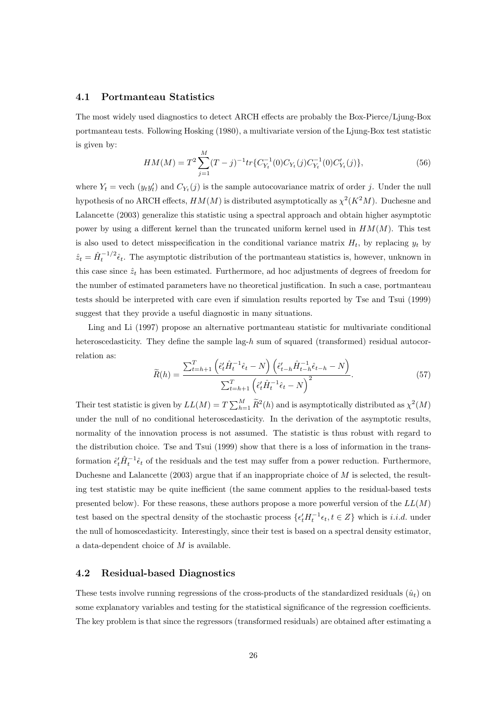## 4.1 Portmanteau Statistics

The most widely used diagnostics to detect ARCH effects are probably the Box-Pierce/Ljung-Box portmanteau tests. Following Hosking (1980), a multivariate version of the Ljung-Box test statistic is given by:

$$
HM(M) = T^{2} \sum_{j=1}^{M} (T-j)^{-1} tr\{C_{Y_{t}}^{-1}(0)C_{Y_{t}}(j)C_{Y_{t}}^{-1}(0)C_{Y_{t}}'(j)\},
$$
\n(56)

where  $Y_t =$  vech  $(y_t y_t')$  and  $C_{Y_t}(j)$  is the sample autocovariance matrix of order j. Under the null hypothesis of no ARCH effects,  $HM(M)$  is distributed asymptotically as  $\chi^2(K^2M)$ . Duchesne and Lalancette (2003) generalize this statistic using a spectral approach and obtain higher asymptotic power by using a different kernel than the truncated uniform kernel used in  $HM(M)$ . This test is also used to detect misspecification in the conditional variance matrix  $H_t$ , by replacing  $y_t$  by  $\hat{z}_t = \hat{H}_t^{-1/2} \hat{\epsilon}_t$ . The asymptotic distribution of the portmanteau statistics is, however, unknown in this case since  $\hat{z}_t$  has been estimated. Furthermore, ad hoc adjustments of degrees of freedom for the number of estimated parameters have no theoretical justification. In such a case, portmanteau tests should be interpreted with care even if simulation results reported by Tse and Tsui (1999) suggest that they provide a useful diagnostic in many situations.

Ling and Li (1997) propose an alternative portmanteau statistic for multivariate conditional heteroscedasticity. They define the sample lag-h sum of squared (transformed) residual autocorrelation as:  $\ddot{\phantom{1}}$ ´

$$
\widetilde{R}(h) = \frac{\sum_{t=h+1}^{T} \left(\hat{\epsilon}_{t}^{t} \hat{H}_{t}^{-1} \hat{\epsilon}_{t} - N\right) \left(\hat{\epsilon}_{t-h}^{t} \hat{H}_{t-h}^{-1} \hat{\epsilon}_{t-h} - N\right)}{\sum_{t=h+1}^{T} \left(\hat{\epsilon}_{t}^{t} \hat{H}_{t}^{-1} \hat{\epsilon}_{t} - N\right)^{2}}.
$$
\n(57)

Their test statistic is given by  $LL(M) = T \sum_{h=1}^{M} \tilde{R}^2(h)$  and is asymptotically distributed as  $\chi^2(M)$ under the null of no conditional heteroscedasticity. In the derivation of the asymptotic results, normality of the innovation process is not assumed. The statistic is thus robust with regard to the distribution choice. Tse and Tsui (1999) show that there is a loss of information in the transformation  $\hat{\epsilon}'_t \hat{H}_t^{-1} \hat{\epsilon}_t$  of the residuals and the test may suffer from a power reduction. Furthermore, Duchesne and Lalancette  $(2003)$  argue that if an inappropriate choice of M is selected, the resulting test statistic may be quite inefficient (the same comment applies to the residual-based tests presented below). For these reasons, these authors propose a more powerful version of the  $LL(M)$ test based on the spectral density of the stochastic process  $\{\epsilon'_t H_t^{-1} \epsilon_t, t \in Z\}$  which is *i.i.d.* under the null of homoscedasticity. Interestingly, since their test is based on a spectral density estimator, a data-dependent choice of M is available.

### 4.2 Residual-based Diagnostics

These tests involve running regressions of the cross-products of the standardized residuals  $(\hat{u}_t)$  on some explanatory variables and testing for the statistical significance of the regression coefficients. The key problem is that since the regressors (transformed residuals) are obtained after estimating a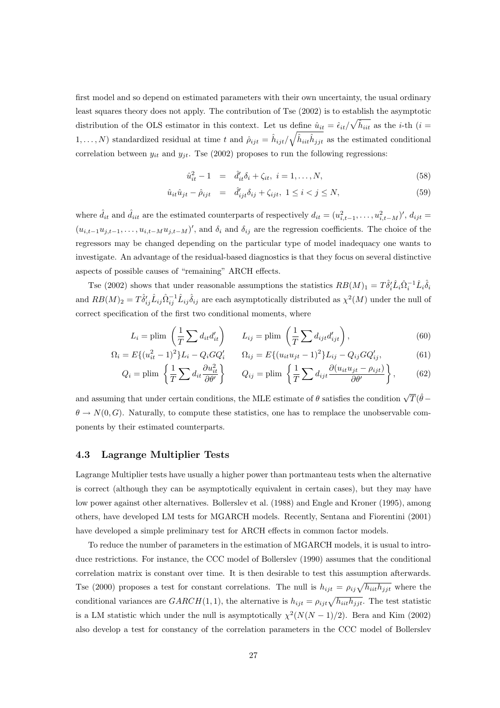first model and so depend on estimated parameters with their own uncertainty, the usual ordinary least squares theory does not apply. The contribution of Tse (2002) is to establish the asymptotic distribution of the OLS estimator in this context. Let us define  $\hat{u}_{it} = \hat{\epsilon}_{it}/\hat{\epsilon}_{it}$ define  $\hat{u}_{it} = \hat{\epsilon}_{it} / \sqrt{\hat{h}_{iit}}$  as the *i*-th (*i* =  $(1,\ldots,N)$  standardized residual at time t and  $\hat{\rho}_{ijt} = \hat{h}_{ijt}/\sqrt{\hat{h}_{iit}\hat{h}_{jjt}}$  as the estimated conditional correlation between  $y_{it}$  and  $y_{it}$ . Tse (2002) proposes to run the following regressions:

$$
\hat{u}_{it}^2 - 1 = \hat{d}_{it}'\delta_i + \zeta_{it}, \ i = 1, \dots, N,
$$
\n(58)

$$
\hat{u}_{it}\hat{u}_{jt} - \hat{\rho}_{ijt} = \hat{d}'_{ijt}\delta_{ij} + \zeta_{ijt}, \ 1 \le i < j \le N,\tag{59}
$$

where  $\hat{d}_{it}$  and  $\hat{d}_{itt}$  are the estimated counterparts of respectively  $d_{it} = (u_{i,t-1}^2, \ldots, u_{i,t-M}^2)'$ ,  $d_{ijt} =$  $(u_{i,t-1}u_{j,t-1},\ldots,u_{i,t-M}u_{j,t-M})'$ , and  $\delta_i$  and  $\delta_{ij}$  are the regression coefficients. The choice of the regressors may be changed depending on the particular type of model inadequacy one wants to investigate. An advantage of the residual-based diagnostics is that they focus on several distinctive aspects of possible causes of "remaining" ARCH effects.

Tse (2002) shows that under reasonable assumptions the statistics  $RB(M)_1 = T\hat{\delta}'_i \hat{L}_i \hat{\Omega}_i^{-1} \hat{L}_i \hat{\delta}_i$ and  $RB(M)_2 = T\hat{\delta}'_{ij}\hat{L}_{ij}\hat{\Omega}_{ij}^{-1}\hat{L}_{ij}\hat{\delta}_{ij}$  are each asymptotically distributed as  $\chi^2(M)$  under the null of correct specification of the first two conditional moments, where

$$
L_i = \text{plim}\,\left(\frac{1}{T}\sum d_{it}d'_{it}\right) \qquad L_{ij} = \text{plim}\,\left(\frac{1}{T}\sum d_{ijt}d'_{ijt}\right),\tag{60}
$$

$$
\Omega_i = E\{(u_{it}^2 - 1)^2\}L_i - Q_i G Q_i' \qquad \Omega_{ij} = E\{(u_{it}u_{jt} - 1)^2\}L_{ij} - Q_{ij} G Q_{ij}',
$$
\n
$$
(1 - \partial u^2) \qquad (1 - \partial (u_{it}u_{it} - \partial u_{it}))
$$

$$
Q_i = \text{plim}\,\left\{\frac{1}{T}\sum d_{it}\frac{\partial u_{it}^2}{\partial \theta'}\right\} \qquad Q_{ij} = \text{plim}\,\left\{\frac{1}{T}\sum d_{ijt}\frac{\partial (u_{it}u_{jt} - \rho_{ijt})}{\partial \theta'}\right\},\tag{62}
$$

and assuming that under certain conditions, the MLE estimate of  $\theta$  satisfies the condition  $\sqrt{T}(\hat{\theta} - \hat{\theta})$  $\theta \to N(0, G)$ . Naturally, to compute these statistics, one has to remplace the unobservable components by their estimated counterparts.

#### 4.3 Lagrange Multiplier Tests

Lagrange Multiplier tests have usually a higher power than portmanteau tests when the alternative is correct (although they can be asymptotically equivalent in certain cases), but they may have low power against other alternatives. Bollerslev et al. (1988) and Engle and Kroner (1995), among others, have developed LM tests for MGARCH models. Recently, Sentana and Fiorentini (2001) have developed a simple preliminary test for ARCH effects in common factor models.

To reduce the number of parameters in the estimation of MGARCH models, it is usual to introduce restrictions. For instance, the CCC model of Bollerslev (1990) assumes that the conditional correlation matrix is constant over time. It is then desirable to test this assumption afterwards. Tse (2000) proposes a test for constant correlations. The null is  $h_{ijt} = \rho_{ij} \sqrt{h_{iit} h_{jjt}}$  where the conditional variances are  $GARCH(1, 1)$ , the alternative is  $h_{ijt} = \rho_{ijt}\sqrt{h_{iit}h_{jjt}}$ . The test statistic is a LM statistic which under the null is asymptotically  $\chi^2(N(N-1)/2)$ . Bera and Kim (2002) also develop a test for constancy of the correlation parameters in the CCC model of Bollerslev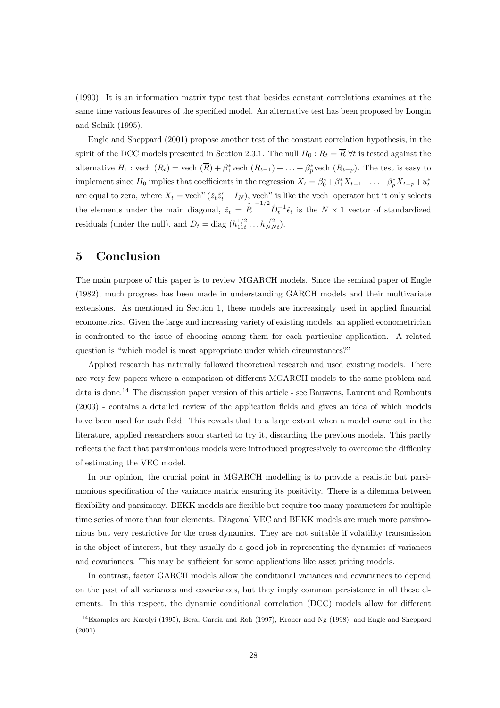(1990). It is an information matrix type test that besides constant correlations examines at the same time various features of the specified model. An alternative test has been proposed by Longin and Solnik (1995).

Engle and Sheppard (2001) propose another test of the constant correlation hypothesis, in the spirit of the DCC models presented in Section 2.3.1. The null  $H_0 : R_t = \overline{R} \forall t$  is tested against the alternative  $H_1$ : vech  $(R_t)$  = vech  $(\overline{R}) + \beta_1^*$ vech  $(R_{t-1}) + \ldots + \beta_p^*$ vech  $(R_{t-p})$ . The test is easy to implement since  $H_0$  implies that coefficients in the regression  $X_t = \beta_0^* + \beta_1^* X_{t-1} + \ldots + \beta_p^* X_{t-p} + u_t^*$ are equal to zero, where  $X_t = \text{vech}^u(\hat{z}_t \hat{z}'_t - I_N)$ , vech<sup>u</sup> is like the vech operator but it only selects the elements under the main diagonal,  $\hat{z}_t = \hat{\overline{R}}^{-1/2} \hat{D}_t^{-1} \hat{\epsilon}_t$  is the  $N \times 1$  vector of standardized residuals (under the null), and  $D_t = \text{diag}(h_{11t}^{1/2} \dots h_{NNt}^{1/2})$ .

# 5 Conclusion

The main purpose of this paper is to review MGARCH models. Since the seminal paper of Engle (1982), much progress has been made in understanding GARCH models and their multivariate extensions. As mentioned in Section 1, these models are increasingly used in applied financial econometrics. Given the large and increasing variety of existing models, an applied econometrician is confronted to the issue of choosing among them for each particular application. A related question is "which model is most appropriate under which circumstances?"

Applied research has naturally followed theoretical research and used existing models. There are very few papers where a comparison of different MGARCH models to the same problem and data is done.<sup>14</sup> The discussion paper version of this article - see Bauwens, Laurent and Rombouts (2003) - contains a detailed review of the application fields and gives an idea of which models have been used for each field. This reveals that to a large extent when a model came out in the literature, applied researchers soon started to try it, discarding the previous models. This partly reflects the fact that parsimonious models were introduced progressively to overcome the difficulty of estimating the VEC model.

In our opinion, the crucial point in MGARCH modelling is to provide a realistic but parsimonious specification of the variance matrix ensuring its positivity. There is a dilemma between flexibility and parsimony. BEKK models are flexible but require too many parameters for multiple time series of more than four elements. Diagonal VEC and BEKK models are much more parsimonious but very restrictive for the cross dynamics. They are not suitable if volatility transmission is the object of interest, but they usually do a good job in representing the dynamics of variances and covariances. This may be sufficient for some applications like asset pricing models.

In contrast, factor GARCH models allow the conditional variances and covariances to depend on the past of all variances and covariances, but they imply common persistence in all these elements. In this respect, the dynamic conditional correlation (DCC) models allow for different

<sup>14</sup>Examples are Karolyi (1995), Bera, Garcia and Roh (1997), Kroner and Ng (1998), and Engle and Sheppard (2001)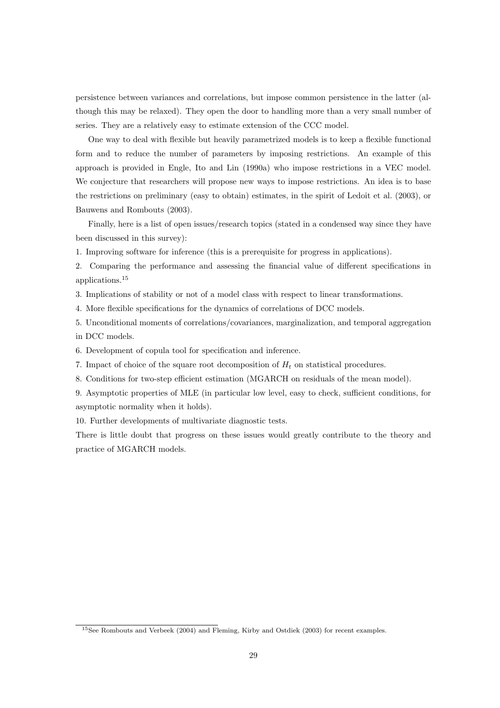persistence between variances and correlations, but impose common persistence in the latter (although this may be relaxed). They open the door to handling more than a very small number of series. They are a relatively easy to estimate extension of the CCC model.

One way to deal with flexible but heavily parametrized models is to keep a flexible functional form and to reduce the number of parameters by imposing restrictions. An example of this approach is provided in Engle, Ito and Lin (1990a) who impose restrictions in a VEC model. We conjecture that researchers will propose new ways to impose restrictions. An idea is to base the restrictions on preliminary (easy to obtain) estimates, in the spirit of Ledoit et al. (2003), or Bauwens and Rombouts (2003).

Finally, here is a list of open issues/research topics (stated in a condensed way since they have been discussed in this survey):

1. Improving software for inference (this is a prerequisite for progress in applications).

2. Comparing the performance and assessing the financial value of different specifications in applications.<sup>15</sup>

3. Implications of stability or not of a model class with respect to linear transformations.

4. More flexible specifications for the dynamics of correlations of DCC models.

5. Unconditional moments of correlations/covariances, marginalization, and temporal aggregation in DCC models.

6. Development of copula tool for specification and inference.

7. Impact of choice of the square root decomposition of  $H_t$  on statistical procedures.

8. Conditions for two-step efficient estimation (MGARCH on residuals of the mean model).

9. Asymptotic properties of MLE (in particular low level, easy to check, sufficient conditions, for asymptotic normality when it holds).

10. Further developments of multivariate diagnostic tests.

There is little doubt that progress on these issues would greatly contribute to the theory and practice of MGARCH models.

<sup>&</sup>lt;sup>15</sup>See Rombouts and Verbeek (2004) and Fleming, Kirby and Ostdiek (2003) for recent examples.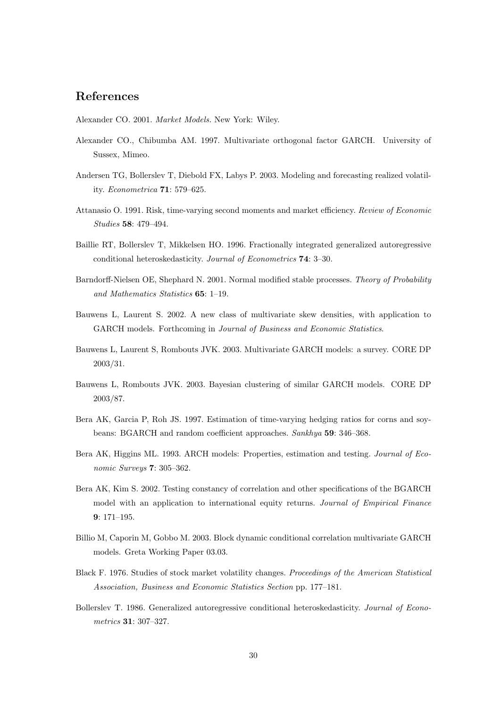# References

Alexander CO. 2001. Market Models. New York: Wiley.

- Alexander CO., Chibumba AM. 1997. Multivariate orthogonal factor GARCH. University of Sussex, Mimeo.
- Andersen TG, Bollerslev T, Diebold FX, Labys P. 2003. Modeling and forecasting realized volatility. Econometrica 71: 579–625.
- Attanasio O. 1991. Risk, time-varying second moments and market efficiency. Review of Economic Studies 58: 479–494.
- Baillie RT, Bollerslev T, Mikkelsen HO. 1996. Fractionally integrated generalized autoregressive conditional heteroskedasticity. Journal of Econometrics 74: 3–30.
- Barndorff-Nielsen OE, Shephard N. 2001. Normal modified stable processes. Theory of Probability and Mathematics Statistics 65: 1–19.
- Bauwens L, Laurent S. 2002. A new class of multivariate skew densities, with application to GARCH models. Forthcoming in Journal of Business and Economic Statistics.
- Bauwens L, Laurent S, Rombouts JVK. 2003. Multivariate GARCH models: a survey. CORE DP 2003/31.
- Bauwens L, Rombouts JVK. 2003. Bayesian clustering of similar GARCH models. CORE DP 2003/87.
- Bera AK, Garcia P, Roh JS. 1997. Estimation of time-varying hedging ratios for corns and soybeans: BGARCH and random coefficient approaches. Sankhya 59: 346–368.
- Bera AK, Higgins ML. 1993. ARCH models: Properties, estimation and testing. Journal of Economic Surveys 7: 305–362.
- Bera AK, Kim S. 2002. Testing constancy of correlation and other specifications of the BGARCH model with an application to international equity returns. Journal of Empirical Finance 9: 171–195.
- Billio M, Caporin M, Gobbo M. 2003. Block dynamic conditional correlation multivariate GARCH models. Greta Working Paper 03.03.
- Black F. 1976. Studies of stock market volatility changes. Proceedings of the American Statistical Association, Business and Economic Statistics Section pp. 177–181.
- Bollerslev T. 1986. Generalized autoregressive conditional heteroskedasticity. Journal of Econometrics 31: 307–327.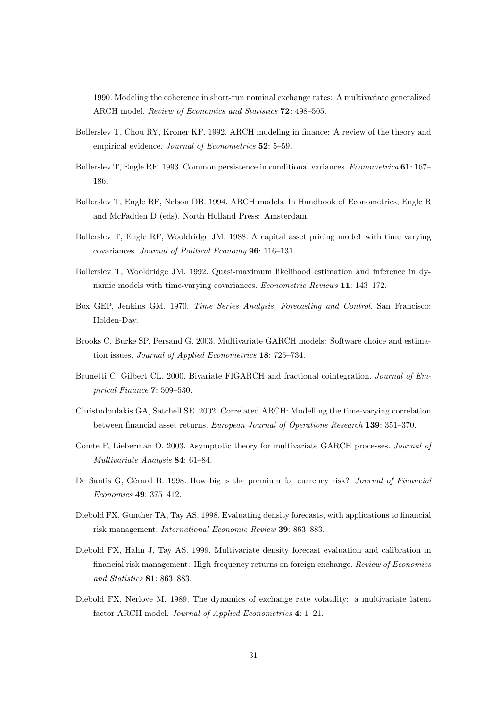- 1990. Modeling the coherence in short-run nominal exchange rates: A multivariate generalized ARCH model. Review of Economics and Statistics 72: 498–505.
- Bollerslev T, Chou RY, Kroner KF. 1992. ARCH modeling in finance: A review of the theory and empirical evidence. *Journal of Econometrics* 52: 5–59.
- Bollerslev T, Engle RF. 1993. Common persistence in conditional variances. *Econometrica* 61:167– 186.
- Bollerslev T, Engle RF, Nelson DB. 1994. ARCH models. In Handbook of Econometrics, Engle R and McFadden D (eds). North Holland Press: Amsterdam.
- Bollerslev T, Engle RF, Wooldridge JM. 1988. A capital asset pricing mode1 with time varying covariances. Journal of Political Economy 96: 116–131.
- Bollerslev T, Wooldridge JM. 1992. Quasi-maximum likelihood estimation and inference in dynamic models with time-varying covariances. Econometric Reviews 11: 143–172.
- Box GEP, Jenkins GM. 1970. Time Series Analysis, Forecasting and Control. San Francisco: Holden-Day.
- Brooks C, Burke SP, Persand G. 2003. Multivariate GARCH models: Software choice and estimation issues. Journal of Applied Econometrics 18: 725–734.
- Brunetti C, Gilbert CL. 2000. Bivariate FIGARCH and fractional cointegration. Journal of Empirical Finance 7: 509–530.
- Christodoulakis GA, Satchell SE. 2002. Correlated ARCH: Modelling the time-varying correlation between financial asset returns. European Journal of Operations Research 139: 351–370.
- Comte F, Lieberman O. 2003. Asymptotic theory for multivariate GARCH processes. Journal of Multivariate Analysis 84: 61–84.
- De Santis G, Gérard B. 1998. How big is the premium for currency risk? Journal of Financial Economics 49: 375–412.
- Diebold FX, Gunther TA, Tay AS. 1998. Evaluating density forecasts, with applications to financial risk management. International Economic Review 39: 863–883.
- Diebold FX, Hahn J, Tay AS. 1999. Multivariate density forecast evaluation and calibration in financial risk management: High-frequency returns on foreign exchange. Review of Economics and Statistics 81: 863–883.
- Diebold FX, Nerlove M. 1989. The dynamics of exchange rate volatility: a multivariate latent factor ARCH model. Journal of Applied Econometrics 4: 1–21.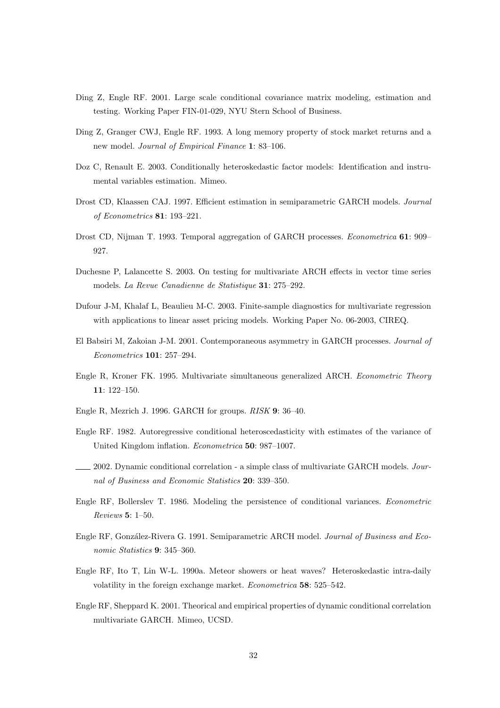- Ding Z, Engle RF. 2001. Large scale conditional covariance matrix modeling, estimation and testing. Working Paper FIN-01-029, NYU Stern School of Business.
- Ding Z, Granger CWJ, Engle RF. 1993. A long memory property of stock market returns and a new model. Journal of Empirical Finance 1: 83–106.
- Doz C, Renault E. 2003. Conditionally heteroskedastic factor models: Identification and instrumental variables estimation. Mimeo.
- Drost CD, Klaassen CAJ. 1997. Efficient estimation in semiparametric GARCH models. Journal of Econometrics 81: 193–221.
- Drost CD, Nijman T. 1993. Temporal aggregation of GARCH processes. Econometrica 61: 909– 927.
- Duchesne P, Lalancette S. 2003. On testing for multivariate ARCH effects in vector time series models. La Revue Canadienne de Statistique 31: 275–292.
- Dufour J-M, Khalaf L, Beaulieu M-C. 2003. Finite-sample diagnostics for multivariate regression with applications to linear asset pricing models. Working Paper No. 06-2003, CIREQ.
- El Babsiri M, Zakoian J-M. 2001. Contemporaneous asymmetry in GARCH processes. Journal of Econometrics 101: 257–294.
- Engle R, Kroner FK. 1995. Multivariate simultaneous generalized ARCH. Econometric Theory 11: 122–150.
- Engle R, Mezrich J. 1996. GARCH for groups. RISK 9: 36–40.
- Engle RF. 1982. Autoregressive conditional heteroscedasticity with estimates of the variance of United Kingdom inflation. Econometrica 50: 987–1007.
- 2002. Dynamic conditional correlation a simple class of multivariate GARCH models. Journal of Business and Economic Statistics 20: 339–350.
- Engle RF, Bollerslev T. 1986. Modeling the persistence of conditional variances. Econometric Reviews 5: 1–50.
- Engle RF, González-Rivera G. 1991. Semiparametric ARCH model. Journal of Business and Economic Statistics 9: 345–360.
- Engle RF, Ito T, Lin W-L. 1990a. Meteor showers or heat waves? Heteroskedastic intra-daily volatility in the foreign exchange market. Econometrica 58: 525–542.
- Engle RF, Sheppard K. 2001. Theorical and empirical properties of dynamic conditional correlation multivariate GARCH. Mimeo, UCSD.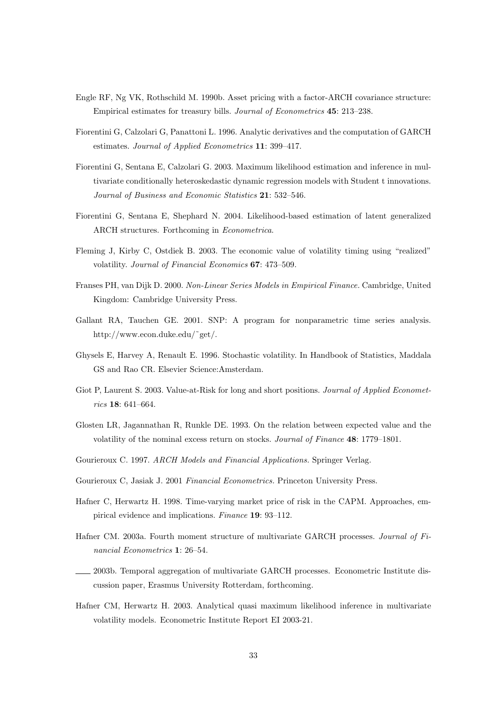- Engle RF, Ng VK, Rothschild M. 1990b. Asset pricing with a factor-ARCH covariance structure: Empirical estimates for treasury bills. Journal of Econometrics 45: 213–238.
- Fiorentini G, Calzolari G, Panattoni L. 1996. Analytic derivatives and the computation of GARCH estimates. Journal of Applied Econometrics 11: 399–417.
- Fiorentini G, Sentana E, Calzolari G. 2003. Maximum likelihood estimation and inference in multivariate conditionally heteroskedastic dynamic regression models with Student t innovations. Journal of Business and Economic Statistics 21: 532–546.
- Fiorentini G, Sentana E, Shephard N. 2004. Likelihood-based estimation of latent generalized ARCH structures. Forthcoming in Econometrica.
- Fleming J, Kirby C, Ostdiek B. 2003. The economic value of volatility timing using "realized" volatility. Journal of Financial Economics 67: 473–509.
- Franses PH, van Dijk D. 2000. Non-Linear Series Models in Empirical Finance. Cambridge, United Kingdom: Cambridge University Press.
- Gallant RA, Tauchen GE. 2001. SNP: A program for nonparametric time series analysis. http://www.econ.duke.edu/˜get/.
- Ghysels E, Harvey A, Renault E. 1996. Stochastic volatility. In Handbook of Statistics, Maddala GS and Rao CR. Elsevier Science:Amsterdam.
- Giot P, Laurent S. 2003. Value-at-Risk for long and short positions. Journal of Applied Econometrics 18: 641–664.
- Glosten LR, Jagannathan R, Runkle DE. 1993. On the relation between expected value and the volatility of the nominal excess return on stocks. Journal of Finance 48: 1779–1801.
- Gourieroux C. 1997. ARCH Models and Financial Applications. Springer Verlag.
- Gourieroux C, Jasiak J. 2001 Financial Econometrics. Princeton University Press.
- Hafner C, Herwartz H. 1998. Time-varying market price of risk in the CAPM. Approaches, empirical evidence and implications. Finance 19: 93–112.
- Hafner CM. 2003a. Fourth moment structure of multivariate GARCH processes. Journal of Financial Econometrics 1: 26–54.
- 2003b. Temporal aggregation of multivariate GARCH processes. Econometric Institute discussion paper, Erasmus University Rotterdam, forthcoming.
- Hafner CM, Herwartz H. 2003. Analytical quasi maximum likelihood inference in multivariate volatility models. Econometric Institute Report EI 2003-21.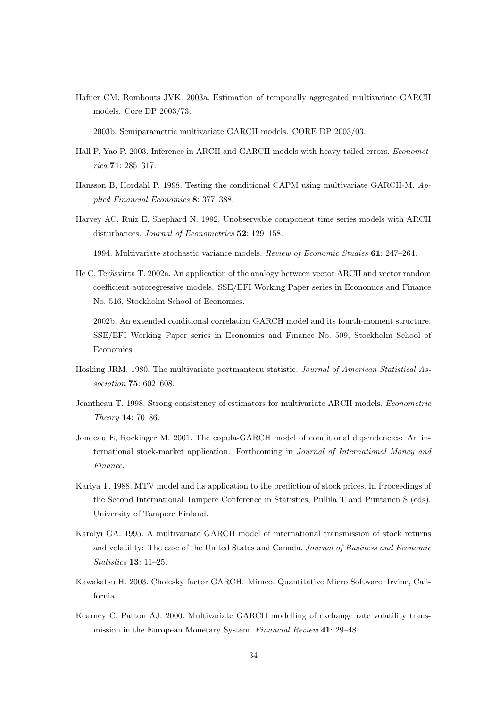- Hafner CM, Rombouts JVK. 2003a. Estimation of temporally aggregated multivariate GARCH models. Core DP 2003/73.
- 2003b. Semiparametric multivariate GARCH models. CORE DP 2003/03.
- Hall P, Yao P. 2003. Inference in ARCH and GARCH models with heavy-tailed errors. Econometrica 71: 285–317.
- Hansson B, Hordahl P. 1998. Testing the conditional CAPM using multivariate GARCH-M. Applied Financial Economics 8: 377–388.
- Harvey AC, Ruiz E, Shephard N. 1992. Unobservable component time series models with ARCH disturbances. Journal of Econometrics 52: 129–158.
- $\pm$  1994. Multivariate stochastic variance models. Review of Economic Studies 61: 247–264.
- He C, Teräsvirta T. 2002a. An application of the analogy between vector ARCH and vector random coefficient autoregressive models. SSE/EFI Working Paper series in Economics and Finance No. 516, Stockholm School of Economics.
- 2002b. An extended conditional correlation GARCH model and its fourth-moment structure. SSE/EFI Working Paper series in Economics and Finance No. 509, Stockholm School of Economics.
- Hosking JRM. 1980. The multivariate portmanteau statistic. Journal of American Statistical Association 75: 602–608.
- Jeantheau T. 1998. Strong consistency of estimators for multivariate ARCH models. Econometric Theory 14: 70–86.
- Jondeau E, Rockinger M. 2001. The copula-GARCH model of conditional dependencies: An international stock-market application. Forthcoming in Journal of International Money and Finance.
- Kariya T. 1988. MTV model and its application to the prediction of stock prices. In Proceedings of the Second International Tampere Conference in Statistics, Pullila T and Puntanen S (eds). University of Tampere Finland.
- Karolyi GA. 1995. A multivariate GARCH model of international transmission of stock returns and volatility: The case of the United States and Canada. Journal of Business and Economic Statistics 13: 11–25.
- Kawakatsu H. 2003. Cholesky factor GARCH. Mimeo. Quantitative Micro Software, Irvine, California.
- Kearney C, Patton AJ. 2000. Multivariate GARCH modelling of exchange rate volatility transmission in the European Monetary System. Financial Review 41: 29–48.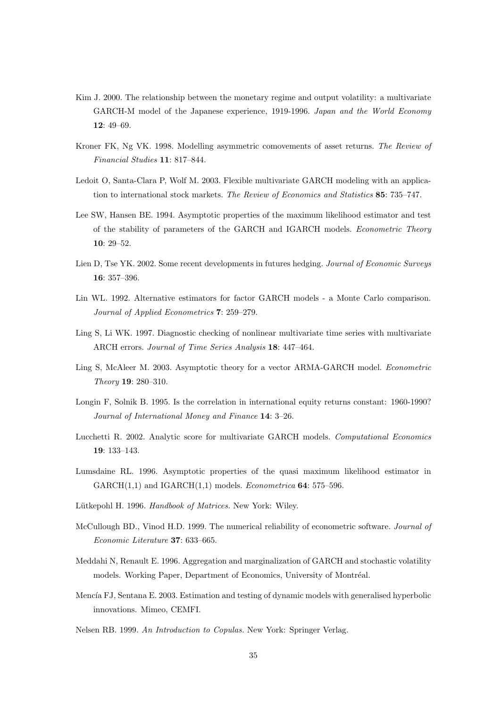- Kim J. 2000. The relationship between the monetary regime and output volatility: a multivariate GARCH-M model of the Japanese experience, 1919-1996. Japan and the World Economy 12: 49–69.
- Kroner FK, Ng VK. 1998. Modelling asymmetric comovements of asset returns. The Review of Financial Studies 11: 817–844.
- Ledoit O, Santa-Clara P, Wolf M. 2003. Flexible multivariate GARCH modeling with an application to international stock markets. The Review of Economics and Statistics 85: 735–747.
- Lee SW, Hansen BE. 1994. Asymptotic properties of the maximum likelihood estimator and test of the stability of parameters of the GARCH and IGARCH models. Econometric Theory 10: 29–52.
- Lien D, Tse YK. 2002. Some recent developments in futures hedging. Journal of Economic Surveys 16: 357–396.
- Lin WL. 1992. Alternative estimators for factor GARCH models a Monte Carlo comparison. Journal of Applied Econometrics 7: 259–279.
- Ling S, Li WK. 1997. Diagnostic checking of nonlinear multivariate time series with multivariate ARCH errors. Journal of Time Series Analysis 18: 447–464.
- Ling S, McAleer M. 2003. Asymptotic theory for a vector ARMA-GARCH model. Econometric Theory 19: 280–310.
- Longin F, Solnik B. 1995. Is the correlation in international equity returns constant: 1960-1990? Journal of International Money and Finance 14: 3–26.
- Lucchetti R. 2002. Analytic score for multivariate GARCH models. Computational Economics 19: 133–143.
- Lumsdaine RL. 1996. Asymptotic properties of the quasi maximum likelihood estimator in  $GARCH(1,1)$  and  $IGARCH(1,1)$  models. *Econometrica* **64**: 575–596.
- Lütkepohl H. 1996. Handbook of Matrices. New York: Wiley.
- McCullough BD., Vinod H.D. 1999. The numerical reliability of econometric software. Journal of Economic Literature 37: 633–665.
- Meddahi N, Renault E. 1996. Aggregation and marginalization of GARCH and stochastic volatility models. Working Paper, Department of Economics, University of Montréal.
- Mencía FJ, Sentana E. 2003. Estimation and testing of dynamic models with generalised hyperbolic innovations. Mimeo, CEMFI.
- Nelsen RB. 1999. An Introduction to Copulas. New York: Springer Verlag.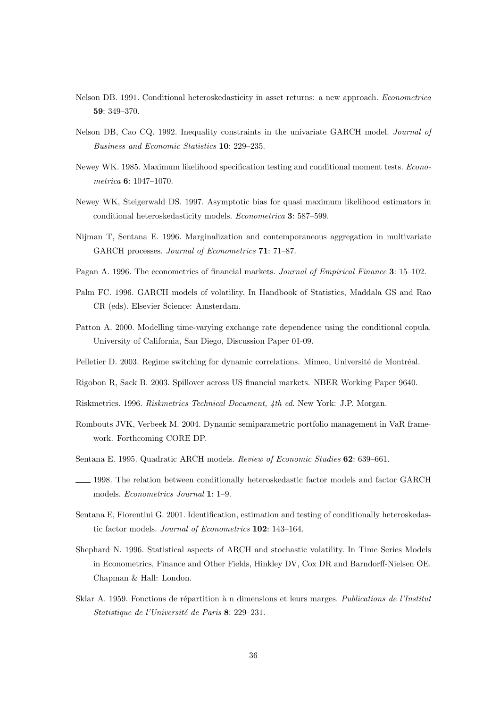- Nelson DB. 1991. Conditional heteroskedasticity in asset returns: a new approach. Econometrica 59: 349–370.
- Nelson DB, Cao CQ. 1992. Inequality constraints in the univariate GARCH model. Journal of Business and Economic Statistics 10: 229–235.
- Newey WK. 1985. Maximum likelihood specification testing and conditional moment tests. Econometrica 6: 1047–1070.
- Newey WK, Steigerwald DS. 1997. Asymptotic bias for quasi maximum likelihood estimators in conditional heteroskedasticity models. Econometrica 3: 587–599.
- Nijman T, Sentana E. 1996. Marginalization and contemporaneous aggregation in multivariate GARCH processes. Journal of Econometrics 71: 71–87.
- Pagan A. 1996. The econometrics of financial markets. Journal of Empirical Finance 3: 15–102.
- Palm FC. 1996. GARCH models of volatility. In Handbook of Statistics, Maddala GS and Rao CR (eds). Elsevier Science: Amsterdam.
- Patton A. 2000. Modelling time-varying exchange rate dependence using the conditional copula. University of California, San Diego, Discussion Paper 01-09.
- Pelletier D. 2003. Regime switching for dynamic correlations. Mimeo, Université de Montréal.
- Rigobon R, Sack B. 2003. Spillover across US financial markets. NBER Working Paper 9640.
- Riskmetrics. 1996. Riskmetrics Technical Document, 4th ed. New York: J.P. Morgan.
- Rombouts JVK, Verbeek M. 2004. Dynamic semiparametric portfolio management in VaR framework. Forthcoming CORE DP.
- Sentana E. 1995. Quadratic ARCH models. Review of Economic Studies 62: 639–661.
- 1998. The relation between conditionally heteroskedastic factor models and factor GARCH models. Econometrics Journal 1: 1–9.
- Sentana E, Fiorentini G. 2001. Identification, estimation and testing of conditionally heteroskedastic factor models. Journal of Econometrics 102: 143–164.
- Shephard N. 1996. Statistical aspects of ARCH and stochastic volatility. In Time Series Models in Econometrics, Finance and Other Fields, Hinkley DV, Cox DR and Barndorff-Nielsen OE. Chapman & Hall: London.
- Sklar A. 1959. Fonctions de répartition à n dimensions et leurs marges. Publications de l'Institut Statistique de l'Université de Paris 8: 229–231.